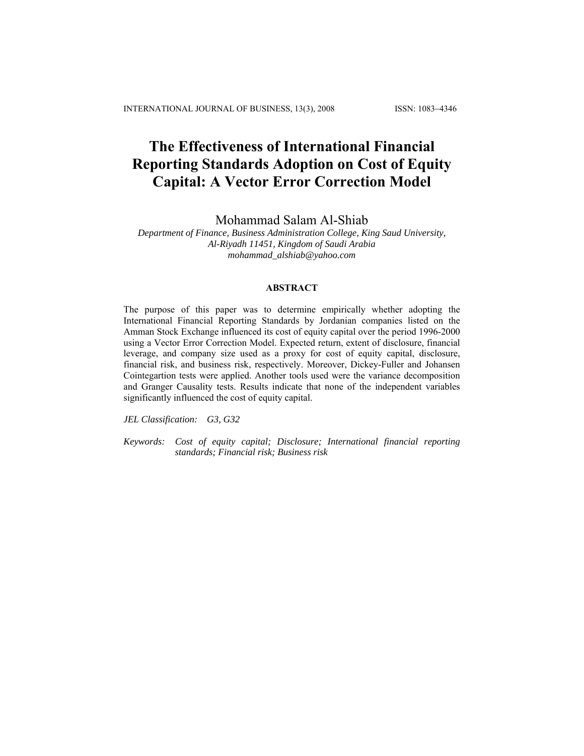# **The Effectiveness of International Financial Reporting Standards Adoption on Cost of Equity Capital: A Vector Error Correction Model**

Mohammad Salam Al-Shiab

*Department of Finance, Business Administration College, King Saud University, Al-Riyadh 11451, Kingdom of Saudi Arabia mohammad\_alshiab@yahoo.com* 

# **ABSTRACT**

The purpose of this paper was to determine empirically whether adopting the International Financial Reporting Standards by Jordanian companies listed on the Amman Stock Exchange influenced its cost of equity capital over the period 1996-2000 using a Vector Error Correction Model. Expected return, extent of disclosure, financial leverage, and company size used as a proxy for cost of equity capital, disclosure, financial risk, and business risk, respectively. Moreover, Dickey-Fuller and Johansen Cointegartion tests were applied. Another tools used were the variance decomposition and Granger Causality tests. Results indicate that none of the independent variables significantly influenced the cost of equity capital.

*JEL Classification: G3, G32* 

*Keywords: Cost of equity capital; Disclosure; International financial reporting standards; Financial risk; Business risk*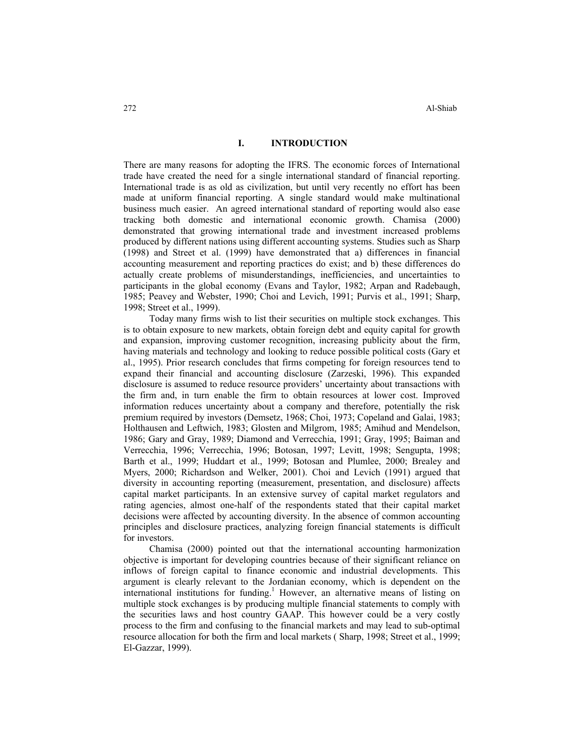## **I. INTRODUCTION**

There are many reasons for adopting the IFRS. The economic forces of International trade have created the need for a single international standard of financial reporting. International trade is as old as civilization, but until very recently no effort has been made at uniform financial reporting. A single standard would make multinational business much easier. An agreed international standard of reporting would also ease tracking both domestic and international economic growth. Chamisa (2000) demonstrated that growing international trade and investment increased problems produced by different nations using different accounting systems. Studies such as Sharp (1998) and Street et al. (1999) have demonstrated that a) differences in financial accounting measurement and reporting practices do exist; and b) these differences do actually create problems of misunderstandings, inefficiencies, and uncertainties to participants in the global economy (Evans and Taylor, 1982; Arpan and Radebaugh, 1985; Peavey and Webster, 1990; Choi and Levich, 1991; Purvis et al., 1991; Sharp, 1998; Street et al., 1999).

Today many firms wish to list their securities on multiple stock exchanges. This is to obtain exposure to new markets, obtain foreign debt and equity capital for growth and expansion, improving customer recognition, increasing publicity about the firm, having materials and technology and looking to reduce possible political costs (Gary et al., 1995). Prior research concludes that firms competing for foreign resources tend to expand their financial and accounting disclosure (Zarzeski, 1996). This expanded disclosure is assumed to reduce resource providers' uncertainty about transactions with the firm and, in turn enable the firm to obtain resources at lower cost. Improved information reduces uncertainty about a company and therefore, potentially the risk premium required by investors (Demsetz, 1968; Choi, 1973; Copeland and Galai, 1983; Holthausen and Leftwich, 1983; Glosten and Milgrom, 1985; Amihud and Mendelson, 1986; Gary and Gray, 1989; Diamond and Verrecchia, 1991; Gray, 1995; Baiman and Verrecchia, 1996; Verrecchia, 1996; Botosan, 1997; Levitt, 1998; Sengupta, 1998; Barth et al., 1999; Huddart et al., 1999; Botosan and Plumlee, 2000; Brealey and Myers, 2000; Richardson and Welker, 2001). Choi and Levich (1991) argued that diversity in accounting reporting (measurement, presentation, and disclosure) affects capital market participants. In an extensive survey of capital market regulators and rating agencies, almost one-half of the respondents stated that their capital market decisions were affected by accounting diversity. In the absence of common accounting principles and disclosure practices, analyzing foreign financial statements is difficult for investors.

Chamisa (2000) pointed out that the international accounting harmonization objective is important for developing countries because of their significant reliance on inflows of foreign capital to finance economic and industrial developments. This argument is clearly relevant to the Jordanian economy, which is dependent on the international institutions for funding.<sup>1</sup> However, an alternative means of listing on multiple stock exchanges is by producing multiple financial statements to comply with the securities laws and host country GAAP. This however could be a very costly process to the firm and confusing to the financial markets and may lead to sub-optimal resource allocation for both the firm and local markets ( Sharp, 1998; Street et al., 1999; El-Gazzar, 1999).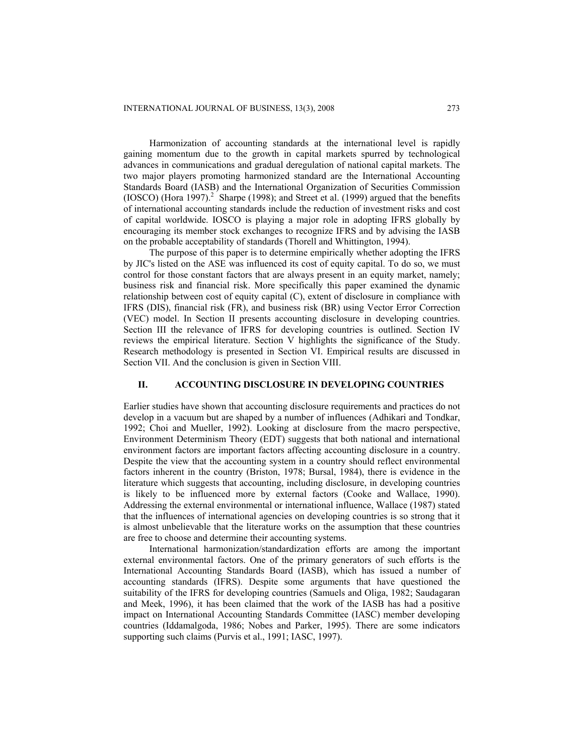Harmonization of accounting standards at the international level is rapidly gaining momentum due to the growth in capital markets spurred by technological advances in communications and gradual deregulation of national capital markets. The two major players promoting harmonized standard are the International Accounting Standards Board (IASB) and the International Organization of Securities Commission  $(IOSCO)$  (Hora 1997).<sup>2</sup> Sharpe (1998); and Street et al. (1999) argued that the benefits of international accounting standards include the reduction of investment risks and cost of capital worldwide. IOSCO is playing a major role in adopting IFRS globally by encouraging its member stock exchanges to recognize IFRS and by advising the IASB on the probable acceptability of standards (Thorell and Whittington, 1994).

The purpose of this paper is to determine empirically whether adopting the IFRS by JIC's listed on the ASE was influenced its cost of equity capital. To do so, we must control for those constant factors that are always present in an equity market, namely; business risk and financial risk. More specifically this paper examined the dynamic relationship between cost of equity capital (C), extent of disclosure in compliance with IFRS (DIS), financial risk (FR), and business risk (BR) using Vector Error Correction (VEC) model. In Section II presents accounting disclosure in developing countries. Section III the relevance of IFRS for developing countries is outlined. Section IV reviews the empirical literature. Section V highlights the significance of the Study. Research methodology is presented in Section VI. Empirical results are discussed in Section VII. And the conclusion is given in Section VIII.

### **II. ACCOUNTING DISCLOSURE IN DEVELOPING COUNTRIES**

Earlier studies have shown that accounting disclosure requirements and practices do not develop in a vacuum but are shaped by a number of influences (Adhikari and Tondkar, 1992; Choi and Mueller, 1992). Looking at disclosure from the macro perspective, Environment Determinism Theory (EDT) suggests that both national and international environment factors are important factors affecting accounting disclosure in a country. Despite the view that the accounting system in a country should reflect environmental factors inherent in the country (Briston, 1978; Bursal, 1984), there is evidence in the literature which suggests that accounting, including disclosure, in developing countries is likely to be influenced more by external factors (Cooke and Wallace, 1990). Addressing the external environmental or international influence, Wallace (1987) stated that the influences of international agencies on developing countries is so strong that it is almost unbelievable that the literature works on the assumption that these countries are free to choose and determine their accounting systems.

International harmonization/standardization efforts are among the important external environmental factors. One of the primary generators of such efforts is the International Accounting Standards Board (IASB), which has issued a number of accounting standards (IFRS). Despite some arguments that have questioned the suitability of the IFRS for developing countries (Samuels and Oliga, 1982; Saudagaran and Meek, 1996), it has been claimed that the work of the IASB has had a positive impact on International Accounting Standards Committee (IASC) member developing countries (Iddamalgoda, 1986; Nobes and Parker, 1995). There are some indicators supporting such claims (Purvis et al., 1991; IASC, 1997).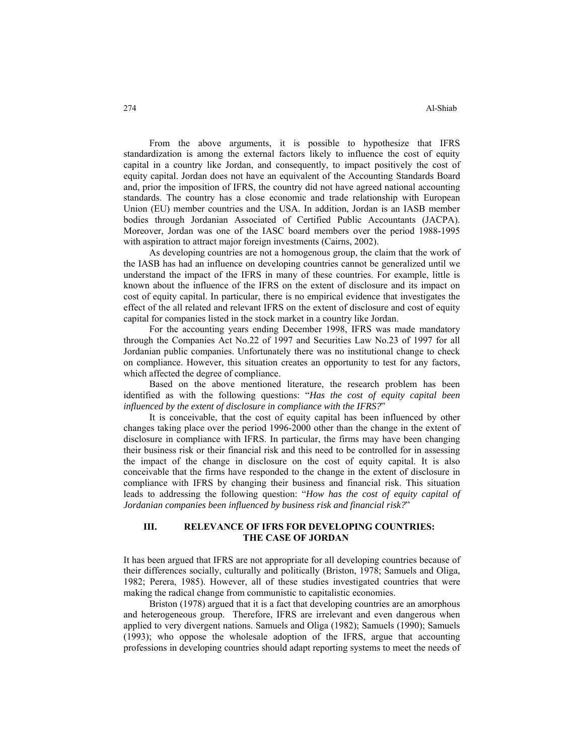From the above arguments, it is possible to hypothesize that IFRS standardization is among the external factors likely to influence the cost of equity capital in a country like Jordan, and consequently, to impact positively the cost of equity capital. Jordan does not have an equivalent of the Accounting Standards Board and, prior the imposition of IFRS, the country did not have agreed national accounting standards. The country has a close economic and trade relationship with European Union (EU) member countries and the USA. In addition, Jordan is an IASB member bodies through Jordanian Associated of Certified Public Accountants (JACPA). Moreover, Jordan was one of the IASC board members over the period 1988-1995 with aspiration to attract major foreign investments (Cairns, 2002).

As developing countries are not a homogenous group, the claim that the work of the IASB has had an influence on developing countries cannot be generalized until we understand the impact of the IFRS in many of these countries. For example, little is known about the influence of the IFRS on the extent of disclosure and its impact on cost of equity capital. In particular, there is no empirical evidence that investigates the effect of the all related and relevant IFRS on the extent of disclosure and cost of equity capital for companies listed in the stock market in a country like Jordan.

For the accounting years ending December 1998, IFRS was made mandatory through the Companies Act No.22 of 1997 and Securities Law No.23 of 1997 for all Jordanian public companies. Unfortunately there was no institutional change to check on compliance. However, this situation creates an opportunity to test for any factors, which affected the degree of compliance.

Based on the above mentioned literature, the research problem has been identified as with the following questions: "*Has the cost of equity capital been influenced by the extent of disclosure in compliance with the IFRS?*"

It is conceivable, that the cost of equity capital has been influenced by other changes taking place over the period 1996-2000 other than the change in the extent of disclosure in compliance with IFRS. In particular, the firms may have been changing their business risk or their financial risk and this need to be controlled for in assessing the impact of the change in disclosure on the cost of equity capital. It is also conceivable that the firms have responded to the change in the extent of disclosure in compliance with IFRS by changing their business and financial risk. This situation leads to addressing the following question: "*How has the cost of equity capital of Jordanian companies been influenced by business risk and financial risk?*"

# **III. RELEVANCE OF IFRS FOR DEVELOPING COUNTRIES: THE CASE OF JORDAN**

It has been argued that IFRS are not appropriate for all developing countries because of their differences socially, culturally and politically (Briston, 1978; Samuels and Oliga, 1982; Perera, 1985). However, all of these studies investigated countries that were making the radical change from communistic to capitalistic economies.

Briston (1978) argued that it is a fact that developing countries are an amorphous and heterogeneous group. Therefore, IFRS are irrelevant and even dangerous when applied to very divergent nations. Samuels and Oliga (1982); Samuels (1990); Samuels (1993); who oppose the wholesale adoption of the IFRS, argue that accounting professions in developing countries should adapt reporting systems to meet the needs of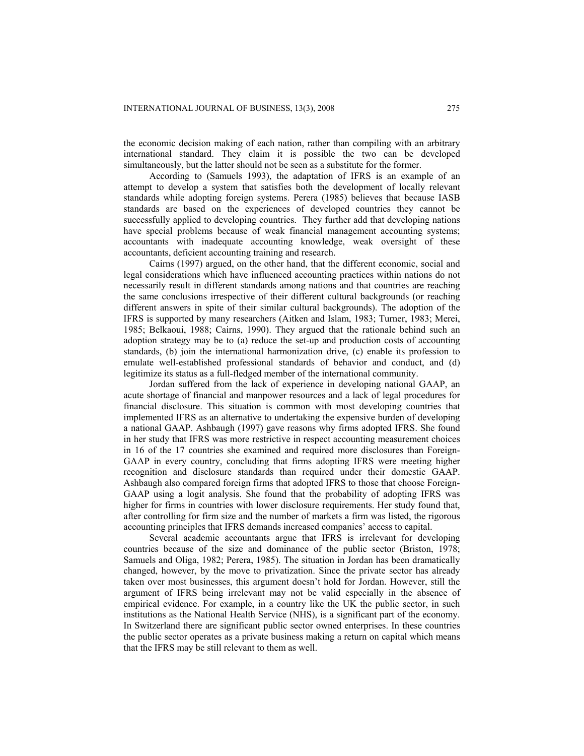the economic decision making of each nation, rather than compiling with an arbitrary international standard. They claim it is possible the two can be developed simultaneously, but the latter should not be seen as a substitute for the former.

According to (Samuels 1993), the adaptation of IFRS is an example of an attempt to develop a system that satisfies both the development of locally relevant standards while adopting foreign systems. Perera (1985) believes that because IASB standards are based on the experiences of developed countries they cannot be successfully applied to developing countries. They further add that developing nations have special problems because of weak financial management accounting systems; accountants with inadequate accounting knowledge, weak oversight of these accountants, deficient accounting training and research.

Cairns (1997) argued, on the other hand, that the different economic, social and legal considerations which have influenced accounting practices within nations do not necessarily result in different standards among nations and that countries are reaching the same conclusions irrespective of their different cultural backgrounds (or reaching different answers in spite of their similar cultural backgrounds). The adoption of the IFRS is supported by many researchers (Aitken and Islam, 1983; Turner, 1983; Merei, 1985; Belkaoui, 1988; Cairns, 1990). They argued that the rationale behind such an adoption strategy may be to (a) reduce the set-up and production costs of accounting standards, (b) join the international harmonization drive, (c) enable its profession to emulate well-established professional standards of behavior and conduct, and (d) legitimize its status as a full-fledged member of the international community.

Jordan suffered from the lack of experience in developing national GAAP, an acute shortage of financial and manpower resources and a lack of legal procedures for financial disclosure. This situation is common with most developing countries that implemented IFRS as an alternative to undertaking the expensive burden of developing a national GAAP. Ashbaugh (1997) gave reasons why firms adopted IFRS. She found in her study that IFRS was more restrictive in respect accounting measurement choices in 16 of the 17 countries she examined and required more disclosures than Foreign-GAAP in every country, concluding that firms adopting IFRS were meeting higher recognition and disclosure standards than required under their domestic GAAP. Ashbaugh also compared foreign firms that adopted IFRS to those that choose Foreign-GAAP using a logit analysis. She found that the probability of adopting IFRS was higher for firms in countries with lower disclosure requirements. Her study found that, after controlling for firm size and the number of markets a firm was listed, the rigorous accounting principles that IFRS demands increased companies' access to capital.

Several academic accountants argue that IFRS is irrelevant for developing countries because of the size and dominance of the public sector (Briston, 1978; Samuels and Oliga, 1982; Perera, 1985). The situation in Jordan has been dramatically changed, however, by the move to privatization. Since the private sector has already taken over most businesses, this argument doesn't hold for Jordan. However, still the argument of IFRS being irrelevant may not be valid especially in the absence of empirical evidence. For example, in a country like the UK the public sector, in such institutions as the National Health Service (NHS), is a significant part of the economy. In Switzerland there are significant public sector owned enterprises. In these countries the public sector operates as a private business making a return on capital which means that the IFRS may be still relevant to them as well.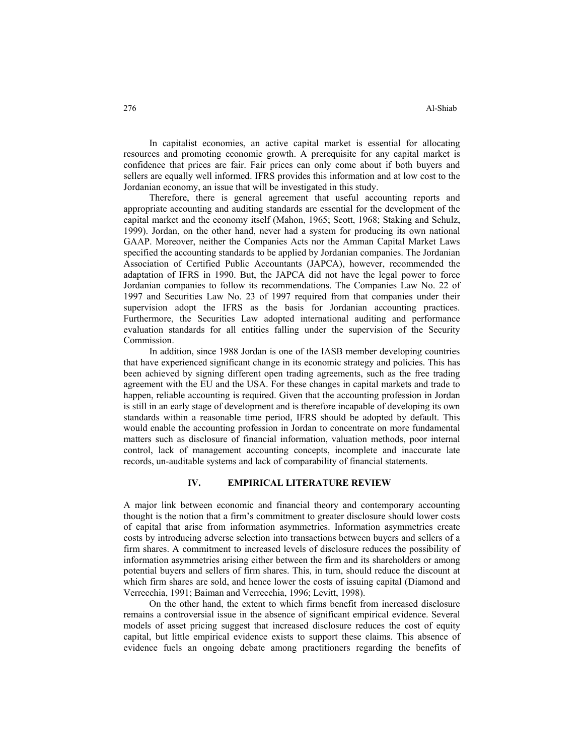In capitalist economies, an active capital market is essential for allocating resources and promoting economic growth. A prerequisite for any capital market is confidence that prices are fair. Fair prices can only come about if both buyers and sellers are equally well informed. IFRS provides this information and at low cost to the Jordanian economy, an issue that will be investigated in this study.

Therefore, there is general agreement that useful accounting reports and appropriate accounting and auditing standards are essential for the development of the capital market and the economy itself (Mahon, 1965; Scott, 1968; Staking and Schulz, 1999). Jordan, on the other hand, never had a system for producing its own national GAAP. Moreover, neither the Companies Acts nor the Amman Capital Market Laws specified the accounting standards to be applied by Jordanian companies. The Jordanian Association of Certified Public Accountants (JAPCA), however, recommended the adaptation of IFRS in 1990. But, the JAPCA did not have the legal power to force Jordanian companies to follow its recommendations. The Companies Law No. 22 of 1997 and Securities Law No. 23 of 1997 required from that companies under their supervision adopt the IFRS as the basis for Jordanian accounting practices. Furthermore, the Securities Law adopted international auditing and performance evaluation standards for all entities falling under the supervision of the Security Commission.

In addition, since 1988 Jordan is one of the IASB member developing countries that have experienced significant change in its economic strategy and policies. This has been achieved by signing different open trading agreements, such as the free trading agreement with the EU and the USA. For these changes in capital markets and trade to happen, reliable accounting is required. Given that the accounting profession in Jordan is still in an early stage of development and is therefore incapable of developing its own standards within a reasonable time period, IFRS should be adopted by default. This would enable the accounting profession in Jordan to concentrate on more fundamental matters such as disclosure of financial information, valuation methods, poor internal control, lack of management accounting concepts, incomplete and inaccurate late records, un-auditable systems and lack of comparability of financial statements.

# **IV. EMPIRICAL LITERATURE REVIEW**

A major link between economic and financial theory and contemporary accounting thought is the notion that a firm's commitment to greater disclosure should lower costs of capital that arise from information asymmetries. Information asymmetries create costs by introducing adverse selection into transactions between buyers and sellers of a firm shares. A commitment to increased levels of disclosure reduces the possibility of information asymmetries arising either between the firm and its shareholders or among potential buyers and sellers of firm shares. This, in turn, should reduce the discount at which firm shares are sold, and hence lower the costs of issuing capital (Diamond and Verrecchia, 1991; Baiman and Verrecchia, 1996; Levitt, 1998).

On the other hand, the extent to which firms benefit from increased disclosure remains a controversial issue in the absence of significant empirical evidence. Several models of asset pricing suggest that increased disclosure reduces the cost of equity capital, but little empirical evidence exists to support these claims. This absence of evidence fuels an ongoing debate among practitioners regarding the benefits of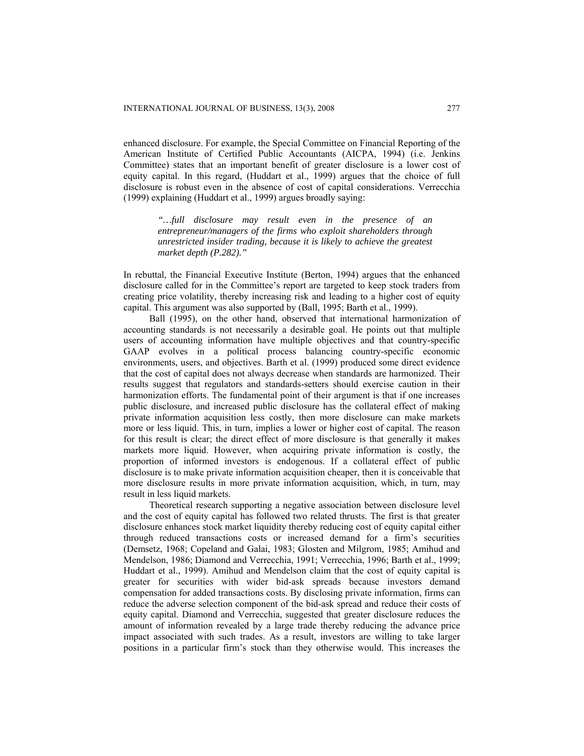enhanced disclosure. For example, the Special Committee on Financial Reporting of the American Institute of Certified Public Accountants (AICPA, 1994) (i.e. Jenkins Committee) states that an important benefit of greater disclosure is a lower cost of equity capital. In this regard, (Huddart et al., 1999) argues that the choice of full disclosure is robust even in the absence of cost of capital considerations. Verrecchia (1999) explaining (Huddart et al., 1999) argues broadly saying:

> *"…full disclosure may result even in the presence of an entrepreneur/managers of the firms who exploit shareholders through unrestricted insider trading, because it is likely to achieve the greatest market depth (P.282)."*

In rebuttal, the Financial Executive Institute (Berton, 1994) argues that the enhanced disclosure called for in the Committee's report are targeted to keep stock traders from creating price volatility, thereby increasing risk and leading to a higher cost of equity capital. This argument was also supported by (Ball, 1995; Barth et al., 1999).

Ball (1995), on the other hand, observed that international harmonization of accounting standards is not necessarily a desirable goal. He points out that multiple users of accounting information have multiple objectives and that country-specific GAAP evolves in a political process balancing country-specific economic environments, users, and objectives. Barth et al. (1999) produced some direct evidence that the cost of capital does not always decrease when standards are harmonized. Their results suggest that regulators and standards-setters should exercise caution in their harmonization efforts. The fundamental point of their argument is that if one increases public disclosure, and increased public disclosure has the collateral effect of making private information acquisition less costly, then more disclosure can make markets more or less liquid. This, in turn, implies a lower or higher cost of capital. The reason for this result is clear; the direct effect of more disclosure is that generally it makes markets more liquid. However, when acquiring private information is costly, the proportion of informed investors is endogenous. If a collateral effect of public disclosure is to make private information acquisition cheaper, then it is conceivable that more disclosure results in more private information acquisition, which, in turn, may result in less liquid markets.

Theoretical research supporting a negative association between disclosure level and the cost of equity capital has followed two related thrusts. The first is that greater disclosure enhances stock market liquidity thereby reducing cost of equity capital either through reduced transactions costs or increased demand for a firm's securities (Demsetz, 1968; Copeland and Galai, 1983; Glosten and Milgrom, 1985; Amihud and Mendelson, 1986; Diamond and Verrecchia, 1991; Verrecchia, 1996; Barth et al., 1999; Huddart et al., 1999). Amihud and Mendelson claim that the cost of equity capital is greater for securities with wider bid-ask spreads because investors demand compensation for added transactions costs. By disclosing private information, firms can reduce the adverse selection component of the bid-ask spread and reduce their costs of equity capital. Diamond and Verrecchia, suggested that greater disclosure reduces the amount of information revealed by a large trade thereby reducing the advance price impact associated with such trades. As a result, investors are willing to take larger positions in a particular firm's stock than they otherwise would. This increases the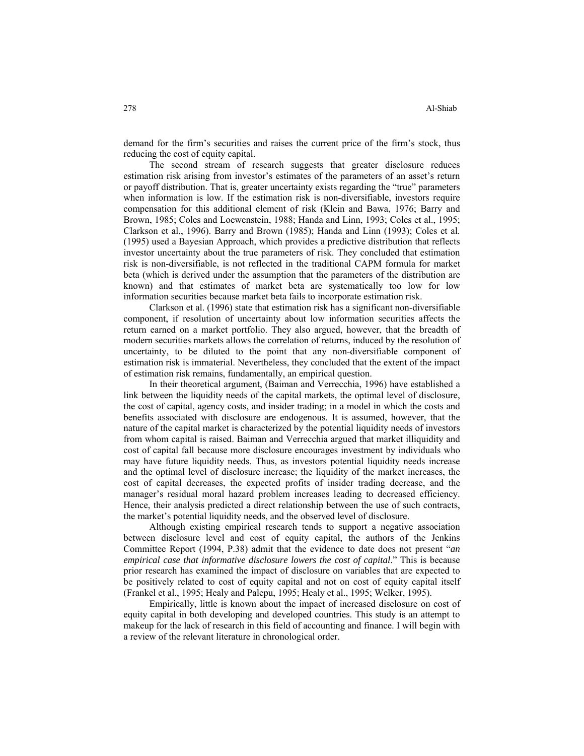demand for the firm's securities and raises the current price of the firm's stock, thus reducing the cost of equity capital.

The second stream of research suggests that greater disclosure reduces estimation risk arising from investor's estimates of the parameters of an asset's return or payoff distribution. That is, greater uncertainty exists regarding the "true" parameters when information is low. If the estimation risk is non-diversifiable, investors require compensation for this additional element of risk (Klein and Bawa, 1976; Barry and Brown, 1985; Coles and Loewenstein, 1988; Handa and Linn, 1993; Coles et al., 1995; Clarkson et al., 1996). Barry and Brown (1985); Handa and Linn (1993); Coles et al. (1995) used a Bayesian Approach, which provides a predictive distribution that reflects investor uncertainty about the true parameters of risk. They concluded that estimation risk is non-diversifiable, is not reflected in the traditional CAPM formula for market beta (which is derived under the assumption that the parameters of the distribution are known) and that estimates of market beta are systematically too low for low information securities because market beta fails to incorporate estimation risk.

Clarkson et al. (1996) state that estimation risk has a significant non-diversifiable component, if resolution of uncertainty about low information securities affects the return earned on a market portfolio. They also argued, however, that the breadth of modern securities markets allows the correlation of returns, induced by the resolution of uncertainty, to be diluted to the point that any non-diversifiable component of estimation risk is immaterial. Nevertheless, they concluded that the extent of the impact of estimation risk remains, fundamentally, an empirical question.

In their theoretical argument, (Baiman and Verrecchia, 1996) have established a link between the liquidity needs of the capital markets, the optimal level of disclosure, the cost of capital, agency costs, and insider trading; in a model in which the costs and benefits associated with disclosure are endogenous. It is assumed, however, that the nature of the capital market is characterized by the potential liquidity needs of investors from whom capital is raised. Baiman and Verrecchia argued that market illiquidity and cost of capital fall because more disclosure encourages investment by individuals who may have future liquidity needs. Thus, as investors potential liquidity needs increase and the optimal level of disclosure increase; the liquidity of the market increases, the cost of capital decreases, the expected profits of insider trading decrease, and the manager's residual moral hazard problem increases leading to decreased efficiency. Hence, their analysis predicted a direct relationship between the use of such contracts, the market's potential liquidity needs, and the observed level of disclosure.

Although existing empirical research tends to support a negative association between disclosure level and cost of equity capital, the authors of the Jenkins Committee Report (1994, P.38) admit that the evidence to date does not present "*an empirical case that informative disclosure lowers the cost of capital*." This is because prior research has examined the impact of disclosure on variables that are expected to be positively related to cost of equity capital and not on cost of equity capital itself (Frankel et al., 1995; Healy and Palepu, 1995; Healy et al., 1995; Welker, 1995).

Empirically, little is known about the impact of increased disclosure on cost of equity capital in both developing and developed countries. This study is an attempt to makeup for the lack of research in this field of accounting and finance. I will begin with a review of the relevant literature in chronological order.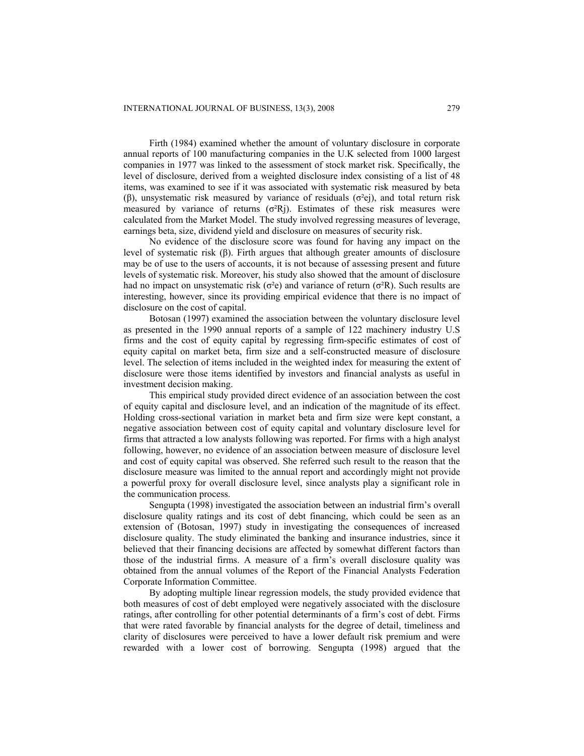Firth (1984) examined whether the amount of voluntary disclosure in corporate annual reports of 100 manufacturing companies in the U.K selected from 1000 largest companies in 1977 was linked to the assessment of stock market risk. Specifically, the level of disclosure, derived from a weighted disclosure index consisting of a list of 48 items, was examined to see if it was associated with systematic risk measured by beta (β), unsystematic risk measured by variance of residuals  $(\sigma^2 \theta)$ , and total return risk measured by variance of returns  $(\sigma^2R)$ . Estimates of these risk measures were calculated from the Market Model. The study involved regressing measures of leverage, earnings beta, size, dividend yield and disclosure on measures of security risk.

No evidence of the disclosure score was found for having any impact on the level of systematic risk (β). Firth argues that although greater amounts of disclosure may be of use to the users of accounts, it is not because of assessing present and future levels of systematic risk. Moreover, his study also showed that the amount of disclosure had no impact on unsystematic risk ( $\sigma^2$ e) and variance of return ( $\sigma^2$ R). Such results are interesting, however, since its providing empirical evidence that there is no impact of disclosure on the cost of capital.

Botosan (1997) examined the association between the voluntary disclosure level as presented in the 1990 annual reports of a sample of 122 machinery industry U.S firms and the cost of equity capital by regressing firm-specific estimates of cost of equity capital on market beta, firm size and a self-constructed measure of disclosure level. The selection of items included in the weighted index for measuring the extent of disclosure were those items identified by investors and financial analysts as useful in investment decision making.

This empirical study provided direct evidence of an association between the cost of equity capital and disclosure level, and an indication of the magnitude of its effect. Holding cross-sectional variation in market beta and firm size were kept constant, a negative association between cost of equity capital and voluntary disclosure level for firms that attracted a low analysts following was reported. For firms with a high analyst following, however, no evidence of an association between measure of disclosure level and cost of equity capital was observed. She referred such result to the reason that the disclosure measure was limited to the annual report and accordingly might not provide a powerful proxy for overall disclosure level, since analysts play a significant role in the communication process.

Sengupta (1998) investigated the association between an industrial firm's overall disclosure quality ratings and its cost of debt financing, which could be seen as an extension of (Botosan, 1997) study in investigating the consequences of increased disclosure quality. The study eliminated the banking and insurance industries, since it believed that their financing decisions are affected by somewhat different factors than those of the industrial firms. A measure of a firm's overall disclosure quality was obtained from the annual volumes of the Report of the Financial Analysts Federation Corporate Information Committee.

By adopting multiple linear regression models, the study provided evidence that both measures of cost of debt employed were negatively associated with the disclosure ratings, after controlling for other potential determinants of a firm's cost of debt. Firms that were rated favorable by financial analysts for the degree of detail, timeliness and clarity of disclosures were perceived to have a lower default risk premium and were rewarded with a lower cost of borrowing. Sengupta (1998) argued that the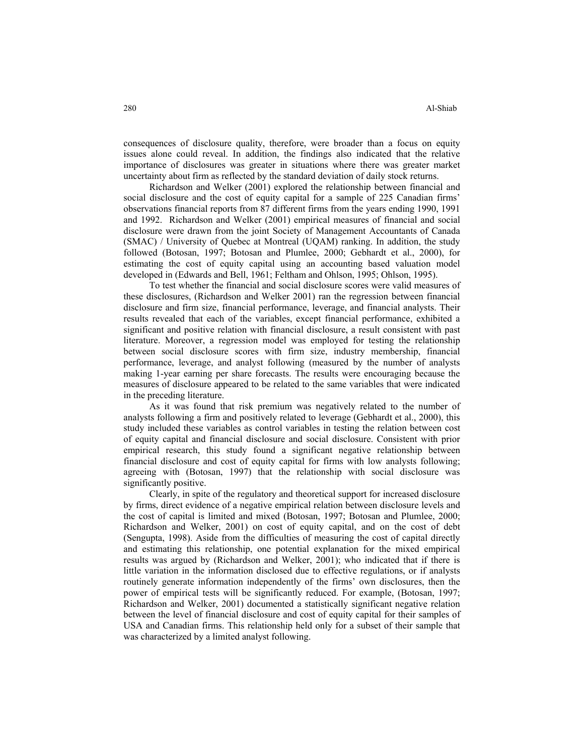consequences of disclosure quality, therefore, were broader than a focus on equity issues alone could reveal. In addition, the findings also indicated that the relative importance of disclosures was greater in situations where there was greater market uncertainty about firm as reflected by the standard deviation of daily stock returns.

Richardson and Welker (2001) explored the relationship between financial and social disclosure and the cost of equity capital for a sample of 225 Canadian firms' observations financial reports from 87 different firms from the years ending 1990, 1991 and 1992. Richardson and Welker (2001) empirical measures of financial and social disclosure were drawn from the joint Society of Management Accountants of Canada (SMAC) / University of Quebec at Montreal (UQAM) ranking. In addition, the study followed (Botosan, 1997; Botosan and Plumlee, 2000; Gebhardt et al., 2000), for estimating the cost of equity capital using an accounting based valuation model developed in (Edwards and Bell, 1961; Feltham and Ohlson, 1995; Ohlson, 1995).

To test whether the financial and social disclosure scores were valid measures of these disclosures, (Richardson and Welker 2001) ran the regression between financial disclosure and firm size, financial performance, leverage, and financial analysts. Their results revealed that each of the variables, except financial performance, exhibited a significant and positive relation with financial disclosure, a result consistent with past literature. Moreover, a regression model was employed for testing the relationship between social disclosure scores with firm size, industry membership, financial performance, leverage, and analyst following (measured by the number of analysts making 1-year earning per share forecasts. The results were encouraging because the measures of disclosure appeared to be related to the same variables that were indicated in the preceding literature.

As it was found that risk premium was negatively related to the number of analysts following a firm and positively related to leverage (Gebhardt et al., 2000), this study included these variables as control variables in testing the relation between cost of equity capital and financial disclosure and social disclosure. Consistent with prior empirical research, this study found a significant negative relationship between financial disclosure and cost of equity capital for firms with low analysts following; agreeing with (Botosan, 1997) that the relationship with social disclosure was significantly positive.

Clearly, in spite of the regulatory and theoretical support for increased disclosure by firms, direct evidence of a negative empirical relation between disclosure levels and the cost of capital is limited and mixed (Botosan, 1997; Botosan and Plumlee, 2000; Richardson and Welker, 2001) on cost of equity capital, and on the cost of debt (Sengupta, 1998). Aside from the difficulties of measuring the cost of capital directly and estimating this relationship, one potential explanation for the mixed empirical results was argued by (Richardson and Welker, 2001); who indicated that if there is little variation in the information disclosed due to effective regulations, or if analysts routinely generate information independently of the firms' own disclosures, then the power of empirical tests will be significantly reduced. For example, (Botosan, 1997; Richardson and Welker, 2001) documented a statistically significant negative relation between the level of financial disclosure and cost of equity capital for their samples of USA and Canadian firms. This relationship held only for a subset of their sample that was characterized by a limited analyst following.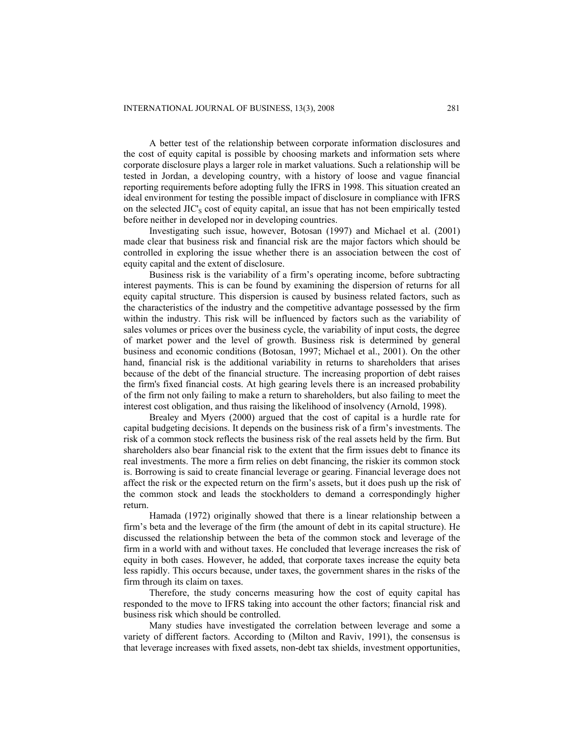A better test of the relationship between corporate information disclosures and the cost of equity capital is possible by choosing markets and information sets where corporate disclosure plays a larger role in market valuations. Such a relationship will be tested in Jordan, a developing country, with a history of loose and vague financial reporting requirements before adopting fully the IFRS in 1998. This situation created an ideal environment for testing the possible impact of disclosure in compliance with IFRS on the selected  $\text{JIC}_\text{S}$  cost of equity capital, an issue that has not been empirically tested before neither in developed nor in developing countries.

Investigating such issue, however, Botosan (1997) and Michael et al. (2001) made clear that business risk and financial risk are the major factors which should be controlled in exploring the issue whether there is an association between the cost of equity capital and the extent of disclosure.

Business risk is the variability of a firm's operating income, before subtracting interest payments. This is can be found by examining the dispersion of returns for all equity capital structure. This dispersion is caused by business related factors, such as the characteristics of the industry and the competitive advantage possessed by the firm within the industry. This risk will be influenced by factors such as the variability of sales volumes or prices over the business cycle, the variability of input costs, the degree of market power and the level of growth. Business risk is determined by general business and economic conditions (Botosan, 1997; Michael et al., 2001). On the other hand, financial risk is the additional variability in returns to shareholders that arises because of the debt of the financial structure. The increasing proportion of debt raises the firm's fixed financial costs. At high gearing levels there is an increased probability of the firm not only failing to make a return to shareholders, but also failing to meet the interest cost obligation, and thus raising the likelihood of insolvency (Arnold, 1998).

Brealey and Myers (2000) argued that the cost of capital is a hurdle rate for capital budgeting decisions. It depends on the business risk of a firm's investments. The risk of a common stock reflects the business risk of the real assets held by the firm. But shareholders also bear financial risk to the extent that the firm issues debt to finance its real investments. The more a firm relies on debt financing, the riskier its common stock is. Borrowing is said to create financial leverage or gearing. Financial leverage does not affect the risk or the expected return on the firm's assets, but it does push up the risk of the common stock and leads the stockholders to demand a correspondingly higher return.

Hamada (1972) originally showed that there is a linear relationship between a firm's beta and the leverage of the firm (the amount of debt in its capital structure). He discussed the relationship between the beta of the common stock and leverage of the firm in a world with and without taxes. He concluded that leverage increases the risk of equity in both cases. However, he added, that corporate taxes increase the equity beta less rapidly. This occurs because, under taxes, the government shares in the risks of the firm through its claim on taxes.

Therefore, the study concerns measuring how the cost of equity capital has responded to the move to IFRS taking into account the other factors; financial risk and business risk which should be controlled.

Many studies have investigated the correlation between leverage and some a variety of different factors. According to (Milton and Raviv, 1991), the consensus is that leverage increases with fixed assets, non-debt tax shields, investment opportunities,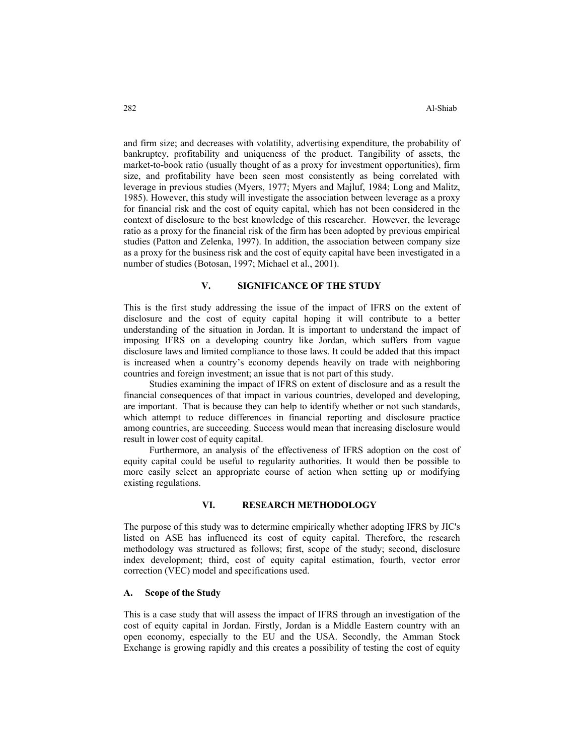and firm size; and decreases with volatility, advertising expenditure, the probability of bankruptcy, profitability and uniqueness of the product. Tangibility of assets, the market-to-book ratio (usually thought of as a proxy for investment opportunities), firm size, and profitability have been seen most consistently as being correlated with leverage in previous studies (Myers, 1977; Myers and Majluf, 1984; Long and Malitz, 1985). However, this study will investigate the association between leverage as a proxy for financial risk and the cost of equity capital, which has not been considered in the context of disclosure to the best knowledge of this researcher. However, the leverage ratio as a proxy for the financial risk of the firm has been adopted by previous empirical studies (Patton and Zelenka, 1997). In addition, the association between company size as a proxy for the business risk and the cost of equity capital have been investigated in a number of studies (Botosan, 1997; Michael et al., 2001).

## **V. SIGNIFICANCE OF THE STUDY**

This is the first study addressing the issue of the impact of IFRS on the extent of disclosure and the cost of equity capital hoping it will contribute to a better understanding of the situation in Jordan. It is important to understand the impact of imposing IFRS on a developing country like Jordan, which suffers from vague disclosure laws and limited compliance to those laws. It could be added that this impact is increased when a country's economy depends heavily on trade with neighboring countries and foreign investment; an issue that is not part of this study.

Studies examining the impact of IFRS on extent of disclosure and as a result the financial consequences of that impact in various countries, developed and developing, are important. That is because they can help to identify whether or not such standards, which attempt to reduce differences in financial reporting and disclosure practice among countries, are succeeding. Success would mean that increasing disclosure would result in lower cost of equity capital.

Furthermore, an analysis of the effectiveness of IFRS adoption on the cost of equity capital could be useful to regularity authorities. It would then be possible to more easily select an appropriate course of action when setting up or modifying existing regulations.

## **VI. RESEARCH METHODOLOGY**

The purpose of this study was to determine empirically whether adopting IFRS by JIC's listed on ASE has influenced its cost of equity capital. Therefore, the research methodology was structured as follows; first, scope of the study; second, disclosure index development; third, cost of equity capital estimation, fourth, vector error correction (VEC) model and specifications used.

# **A. Scope of the Study**

This is a case study that will assess the impact of IFRS through an investigation of the cost of equity capital in Jordan. Firstly, Jordan is a Middle Eastern country with an open economy, especially to the EU and the USA. Secondly, the Amman Stock Exchange is growing rapidly and this creates a possibility of testing the cost of equity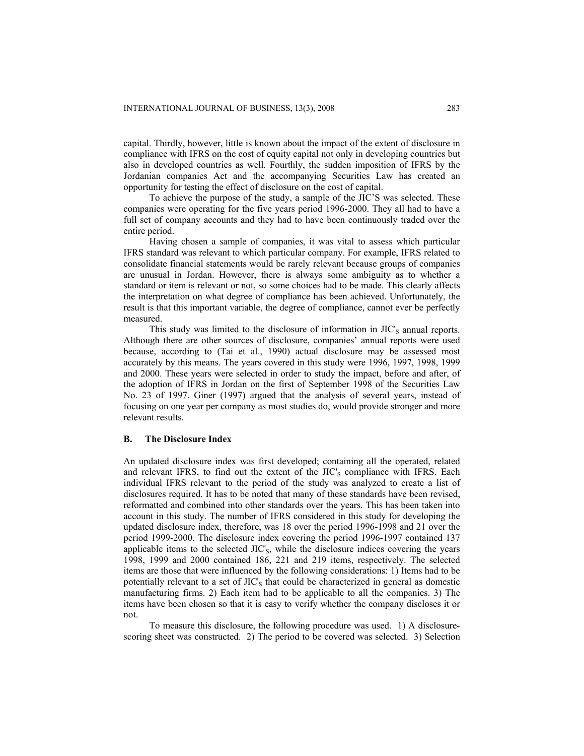capital. Thirdly, however, little is known about the impact of the extent of disclosure in compliance with IFRS on the cost of equity capital not only in developing countries but also in developed countries as well. Fourthly, the sudden imposition of IFRS by the Jordanian companies Act and the accompanying Securities Law has created an opportunity for testing the effect of disclosure on the cost of capital.

To achieve the purpose of the study, a sample of the JIC'S was selected. These companies were operating for the five years period 1996-2000. They all had to have a full set of company accounts and they had to have been continuously traded over the entire period.

Having chosen a sample of companies, it was vital to assess which particular IFRS standard was relevant to which particular company. For example, IFRS related to consolidate financial statements would be rarely relevant because groups of companies are unusual in Jordan. However, there is always some ambiguity as to whether a standard or item is relevant or not, so some choices had to be made. This clearly affects the interpretation on what degree of compliance has been achieved. Unfortunately, the result is that this important variable, the degree of compliance, cannot ever be perfectly measured.

This study was limited to the disclosure of information in  $\mathrm{JIC}_S$  annual reports. Although there are other sources of disclosure, companies' annual reports were used because, according to (Tai et al., 1990) actual disclosure may be assessed most accurately by this means. The years covered in this study were 1996, 1997, 1998, 1999 and 2000. These years were selected in order to study the impact, before and after, of the adoption of IFRS in Jordan on the first of September 1998 of the Securities Law No. 23 of 1997. Giner (1997) argued that the analysis of several years, instead of focusing on one year per company as most studies do, would provide stronger and more relevant results.

#### **B. The Disclosure Index**

An updated disclosure index was first developed; containing all the operated, related and relevant IFRS, to find out the extent of the JIC's compliance with IFRS. Each individual IFRS relevant to the period of the study was analyzed to create a list of disclosures required. It has to be noted that many of these standards have been revised, reformatted and combined into other standards over the years. This has been taken into account in this study. The number of IFRS considered in this study for developing the updated disclosure index, therefore, was 18 over the period 1996-1998 and 21 over the period 1999-2000. The disclosure index covering the period 1996-1997 contained 137 applicable items to the selected JIC's, while the disclosure indices covering the years 1998, 1999 and 2000 contained 186, 221 and 219 items, respectively. The selected items are those that were influenced by the following considerations: 1) Items had to be potentially relevant to a set of  $\text{JIC}_s$  that could be characterized in general as domestic manufacturing firms. 2) Each item had to be applicable to all the companies. 3) The items have been chosen so that it is easy to verify whether the company discloses it or not.

To measure this disclosure, the following procedure was used. 1) A disclosurescoring sheet was constructed. 2) The period to be covered was selected. 3) Selection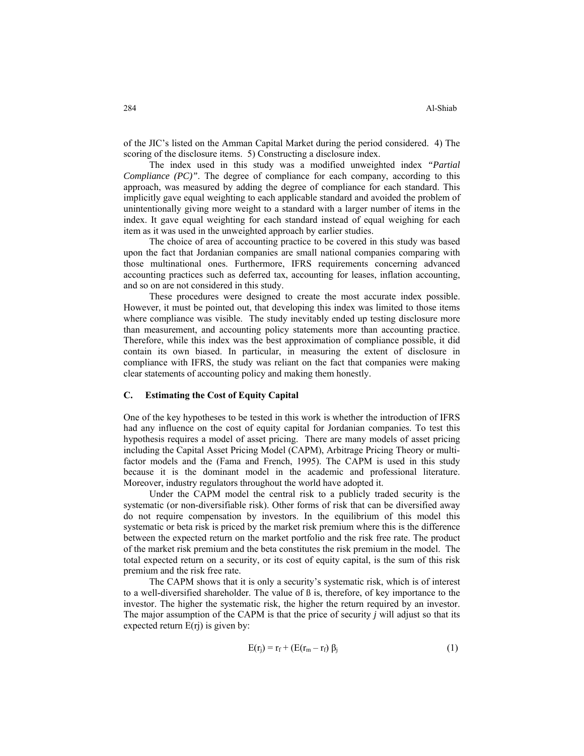of the JIC's listed on the Amman Capital Market during the period considered. 4) The scoring of the disclosure items. 5) Constructing a disclosure index.

The index used in this study was a modified unweighted index *"Partial Compliance (PC)*". The degree of compliance for each company, according to this approach, was measured by adding the degree of compliance for each standard. This implicitly gave equal weighting to each applicable standard and avoided the problem of unintentionally giving more weight to a standard with a larger number of items in the index. It gave equal weighting for each standard instead of equal weighing for each item as it was used in the unweighted approach by earlier studies.

The choice of area of accounting practice to be covered in this study was based upon the fact that Jordanian companies are small national companies comparing with those multinational ones. Furthermore, IFRS requirements concerning advanced accounting practices such as deferred tax, accounting for leases, inflation accounting, and so on are not considered in this study.

These procedures were designed to create the most accurate index possible. However, it must be pointed out, that developing this index was limited to those items where compliance was visible. The study inevitably ended up testing disclosure more than measurement, and accounting policy statements more than accounting practice. Therefore, while this index was the best approximation of compliance possible, it did contain its own biased. In particular, in measuring the extent of disclosure in compliance with IFRS, the study was reliant on the fact that companies were making clear statements of accounting policy and making them honestly.

#### **C. Estimating the Cost of Equity Capital**

One of the key hypotheses to be tested in this work is whether the introduction of IFRS had any influence on the cost of equity capital for Jordanian companies. To test this hypothesis requires a model of asset pricing. There are many models of asset pricing including the Capital Asset Pricing Model (CAPM), Arbitrage Pricing Theory or multifactor models and the (Fama and French, 1995). The CAPM is used in this study because it is the dominant model in the academic and professional literature. Moreover, industry regulators throughout the world have adopted it.

Under the CAPM model the central risk to a publicly traded security is the systematic (or non-diversifiable risk). Other forms of risk that can be diversified away do not require compensation by investors. In the equilibrium of this model this systematic or beta risk is priced by the market risk premium where this is the difference between the expected return on the market portfolio and the risk free rate. The product of the market risk premium and the beta constitutes the risk premium in the model. The total expected return on a security, or its cost of equity capital, is the sum of this risk premium and the risk free rate.

The CAPM shows that it is only a security's systematic risk, which is of interest to a well-diversified shareholder. The value of ß is, therefore, of key importance to the investor. The higher the systematic risk, the higher the return required by an investor. The major assumption of the CAPM is that the price of security *j* will adjust so that its expected return  $E(rj)$  is given by:

$$
E(r_j) = r_f + (E(r_m - r_f) \beta_j)
$$
 (1)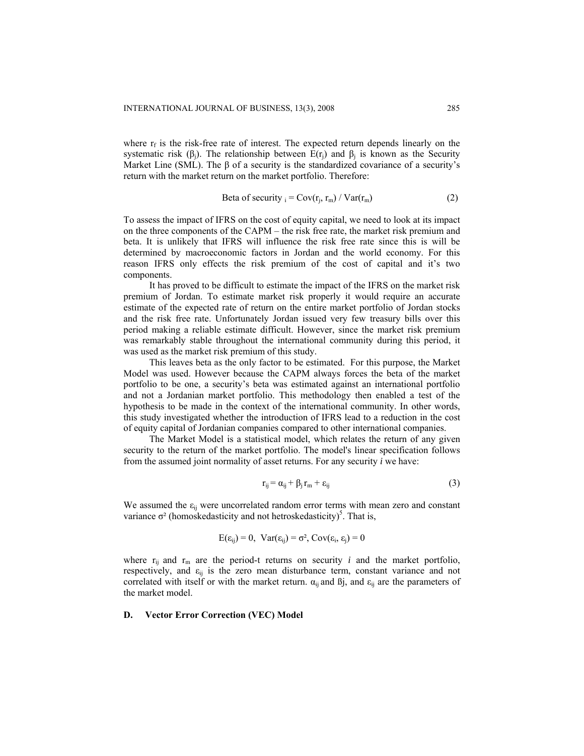where  $r_f$  is the risk-free rate of interest. The expected return depends linearly on the systematic risk ( $\beta_i$ ). The relationship between E(r<sub>i</sub>) and  $\beta_i$  is known as the Security Market Line (SML). The  $\beta$  of a security is the standardized covariance of a security's return with the market return on the market portfolio. Therefore:

Beta of security 
$$
_i = \text{Cov}(r_i, r_m) / \text{Var}(r_m)
$$
 (2)

To assess the impact of IFRS on the cost of equity capital, we need to look at its impact on the three components of the CAPM – the risk free rate, the market risk premium and beta. It is unlikely that IFRS will influence the risk free rate since this is will be determined by macroeconomic factors in Jordan and the world economy. For this reason IFRS only effects the risk premium of the cost of capital and it's two components.

It has proved to be difficult to estimate the impact of the IFRS on the market risk premium of Jordan. To estimate market risk properly it would require an accurate estimate of the expected rate of return on the entire market portfolio of Jordan stocks and the risk free rate. Unfortunately Jordan issued very few treasury bills over this period making a reliable estimate difficult. However, since the market risk premium was remarkably stable throughout the international community during this period, it was used as the market risk premium of this study.

This leaves beta as the only factor to be estimated. For this purpose, the Market Model was used. However because the CAPM always forces the beta of the market portfolio to be one, a security's beta was estimated against an international portfolio and not a Jordanian market portfolio. This methodology then enabled a test of the hypothesis to be made in the context of the international community. In other words, this study investigated whether the introduction of IFRS lead to a reduction in the cost of equity capital of Jordanian companies compared to other international companies.

The Market Model is a statistical model, which relates the return of any given security to the return of the market portfolio. The model's linear specification follows from the assumed joint normality of asset returns. For any security *i* we have:

$$
r_{ij} = \alpha_{ij} + \beta_j r_m + \varepsilon_{ij}
$$
 (3)

We assumed the  $\varepsilon_{ii}$  were uncorrelated random error terms with mean zero and constant variance  $\sigma^2$  (homoskedasticity and not hetroskedasticity)<sup>5</sup>. That is,

$$
E(\varepsilon_{ij}) = 0, \ \ \text{Var}(\varepsilon_{ij}) = \sigma^2, \ \text{Cov}(\varepsilon_i, \ \varepsilon_j) = 0
$$

where  $r_{ij}$  and  $r_m$  are the period-t returns on security *i* and the market portfolio, respectively, and  $\varepsilon_{ij}$  is the zero mean disturbance term, constant variance and not correlated with itself or with the market return.  $\alpha_{ii}$  and  $\beta_{i}$ , and  $\varepsilon_{ii}$  are the parameters of the market model.

#### **D. Vector Error Correction (VEC) Model**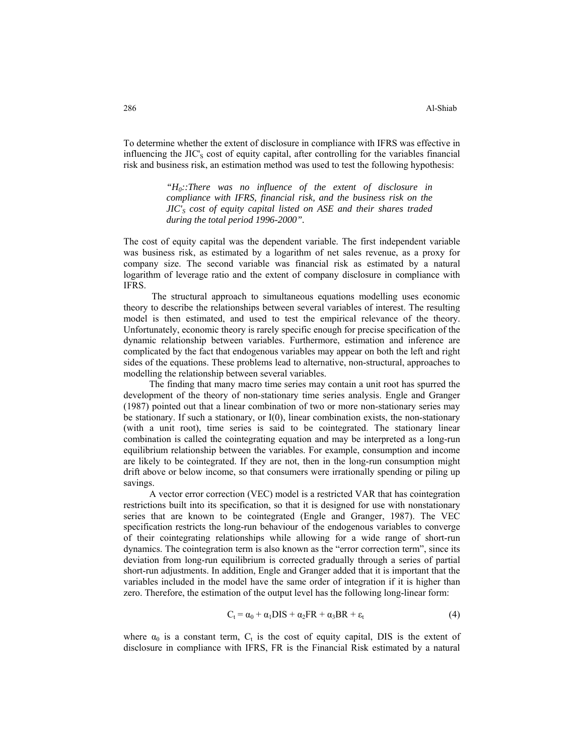To determine whether the extent of disclosure in compliance with IFRS was effective in influencing the JIC's cost of equity capital, after controlling for the variables financial risk and business risk, an estimation method was used to test the following hypothesis:

> *"H0::There was no influence of the extent of disclosure in compliance with IFRS, financial risk, and the business risk on the JIC'S cost of equity capital listed on ASE and their shares traded during the total period 1996-2000".*

The cost of equity capital was the dependent variable. The first independent variable was business risk, as estimated by a logarithm of net sales revenue, as a proxy for company size. The second variable was financial risk as estimated by a natural logarithm of leverage ratio and the extent of company disclosure in compliance with IFRS.

 The structural approach to simultaneous equations modelling uses economic theory to describe the relationships between several variables of interest. The resulting model is then estimated, and used to test the empirical relevance of the theory. Unfortunately, economic theory is rarely specific enough for precise specification of the dynamic relationship between variables. Furthermore, estimation and inference are complicated by the fact that endogenous variables may appear on both the left and right sides of the equations. These problems lead to alternative, non-structural, approaches to modelling the relationship between several variables.

The finding that many macro time series may contain a unit root has spurred the development of the theory of non-stationary time series analysis. Engle and Granger (1987) pointed out that a linear combination of two or more non-stationary series may be stationary. If such a stationary, or I(0), linear combination exists, the non-stationary (with a unit root), time series is said to be cointegrated. The stationary linear combination is called the cointegrating equation and may be interpreted as a long-run equilibrium relationship between the variables. For example, consumption and income are likely to be cointegrated. If they are not, then in the long-run consumption might drift above or below income, so that consumers were irrationally spending or piling up savings.

A vector error correction (VEC) model is a restricted VAR that has cointegration restrictions built into its specification, so that it is designed for use with nonstationary series that are known to be cointegrated (Engle and Granger, 1987). The VEC specification restricts the long-run behaviour of the endogenous variables to converge of their cointegrating relationships while allowing for a wide range of short-run dynamics. The cointegration term is also known as the "error correction term", since its deviation from long-run equilibrium is corrected gradually through a series of partial short-run adjustments. In addition, Engle and Granger added that it is important that the variables included in the model have the same order of integration if it is higher than zero. Therefore, the estimation of the output level has the following long-linear form:

$$
C_t = \alpha_0 + \alpha_1 DIS + \alpha_2 FR + \alpha_3 BR + \varepsilon_t
$$
 (4)

where  $\alpha_0$  is a constant term,  $C_t$  is the cost of equity capital, DIS is the extent of disclosure in compliance with IFRS, FR is the Financial Risk estimated by a natural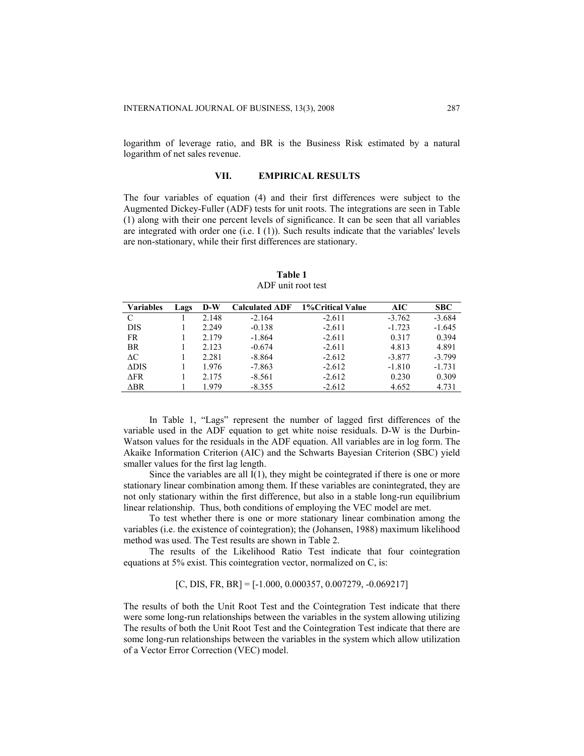logarithm of leverage ratio, and BR is the Business Risk estimated by a natural logarithm of net sales revenue.

#### **VII. EMPIRICAL RESULTS**

The four variables of equation (4) and their first differences were subject to the Augmented Dickey-Fuller (ADF) tests for unit roots. The integrations are seen in Table (1) along with their one percent levels of significance. It can be seen that all variables are integrated with order one (i.e. I (1)). Such results indicate that the variables' levels are non-stationary, while their first differences are stationary.

| <b>Variables</b> | Lags | $D-W$ | <b>Calculated ADF</b> | 1% Critical Value | AIC      | <b>SBC</b> |
|------------------|------|-------|-----------------------|-------------------|----------|------------|
| C                |      | 2.148 | $-2.164$              | $-2.611$          | $-3.762$ | $-3.684$   |
| <b>DIS</b>       |      | 2.249 | $-0.138$              | $-2.611$          | $-1.723$ | $-1.645$   |
| FR.              |      | 2.179 | $-1.864$              | $-2.611$          | 0.317    | 0.394      |
| <b>BR</b>        |      | 2.123 | $-0.674$              | $-2.611$          | 4.813    | 4.891      |
| $\Delta C$       |      | 2.281 | $-8.864$              | $-2.612$          | $-3.877$ | $-3.799$   |
| $\triangle DIS$  |      | 1.976 | $-7.863$              | $-2.612$          | $-1.810$ | $-1.731$   |
| $\triangle$ FR   |      | 2.175 | $-8.561$              | $-2.612$          | 0.230    | 0.309      |
| ∆BR              |      | 1979  | $-8.355$              | $-2.612$          | 4.652    | 4.731      |

**Table 1**  ADF unit root test

In Table 1, "Lags" represent the number of lagged first differences of the variable used in the ADF equation to get white noise residuals. D-W is the Durbin-Watson values for the residuals in the ADF equation. All variables are in log form. The Akaike Information Criterion (AIC) and the Schwarts Bayesian Criterion (SBC) yield smaller values for the first lag length.

Since the variables are all  $I(1)$ , they might be cointegrated if there is one or more stationary linear combination among them. If these variables are conintegrated, they are not only stationary within the first difference, but also in a stable long-run equilibrium linear relationship. Thus, both conditions of employing the VEC model are met.

To test whether there is one or more stationary linear combination among the variables (i.e. the existence of cointegration); the (Johansen, 1988) maximum likelihood method was used. The Test results are shown in Table 2.

The results of the Likelihood Ratio Test indicate that four cointegration equations at 5% exist. This cointegration vector, normalized on C, is:

 $[C, DIS, FR, BR] = [-1.000, 0.000357, 0.007279, -0.069217]$ 

The results of both the Unit Root Test and the Cointegration Test indicate that there were some long-run relationships between the variables in the system allowing utilizing The results of both the Unit Root Test and the Cointegration Test indicate that there are some long-run relationships between the variables in the system which allow utilization of a Vector Error Correction (VEC) model.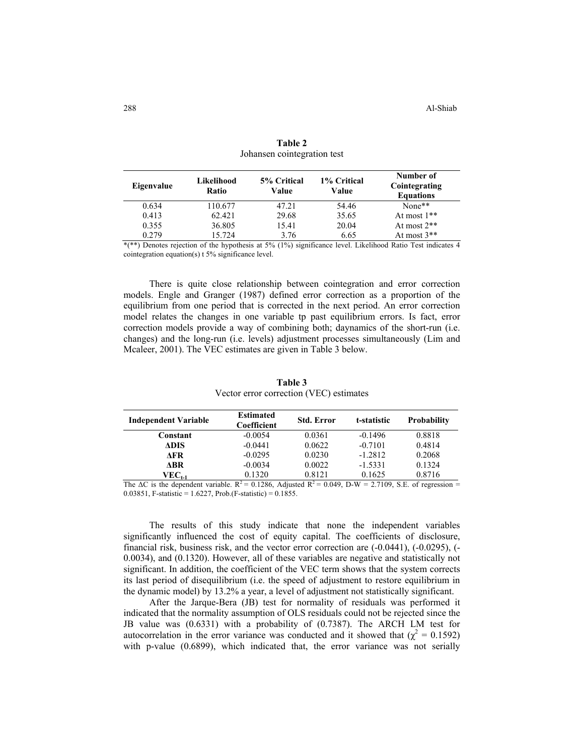| Eigenvalue | Likelihood<br>Ratio | 5% Critical<br>Value | 1% Critical<br>Value | Number of<br>Cointegrating<br><b>Equations</b> |  |
|------------|---------------------|----------------------|----------------------|------------------------------------------------|--|
| 0.634      | 110.677             | 47.21                | 54.46                | None**                                         |  |
| 0.413      | 62.421              | 29.68                | 35.65                | At most $1**$                                  |  |
| 0.355      | 36.805              | 15.41                | 20.04                | At most $2**$                                  |  |
| 0.279      | 15.724              | 3.76                 | 6.65                 | At most $3**$                                  |  |
|            |                     |                      |                      |                                                |  |

| Table 2                     |  |
|-----------------------------|--|
| Johansen cointegration test |  |

\*(\*\*) Denotes rejection of the hypothesis at 5% (1%) significance level. Likelihood Ratio Test indicates 4 cointegration equation(s) t 5% significance level.

There is quite close relationship between cointegration and error correction models. Engle and Granger (1987) defined error correction as a proportion of the equilibrium from one period that is corrected in the next period. An error correction model relates the changes in one variable tp past equilibrium errors. Is fact, error correction models provide a way of combining both; daynamics of the short-run (i.e. changes) and the long-run (i.e. levels) adjustment processes simultaneously (Lim and Mcaleer, 2001). The VEC estimates are given in Table 3 below.

| <b>Independent Variable</b>  | <b>Estimated</b><br>Coefficient | <b>Std. Error</b> | t-statistic | <b>Probability</b> |
|------------------------------|---------------------------------|-------------------|-------------|--------------------|
| Constant                     | $-0.0054$                       | 0.0361            | $-0.1496$   | 0.8818             |
| <b>ADIS</b>                  | $-0.0441$                       | 0.0622            | $-0.7101$   | 0.4814             |
| AFR -                        | $-0.0295$                       | 0.0230            | $-1.2812$   | 0.2068             |
| ABR                          | $-0.0034$                       | 0.0022            | $-1.5331$   | 0.1324             |
| ${\rm VEC}_{\rm t\text{-}1}$ | 0.1320                          | 0.8121            | 0.1625      | 0.8716             |

**Table 3**  Vector error correction (VEC) estimates

The  $\Delta C$  is the dependent variable.  $R^2 = 0.1286$ , Adjusted  $R^2 = 0.049$ , D-W = 2.7109, S.E. of regression = 0.03851, F-statistic = 1.6227, Prob.(F-statistic) = 0.1855.

 The results of this study indicate that none the independent variables significantly influenced the cost of equity capital. The coefficients of disclosure, financial risk, business risk, and the vector error correction are (-0.0441), (-0.0295), (- 0.0034), and (0.1320). However, all of these variables are negative and statistically not significant. In addition, the coefficient of the VEC term shows that the system corrects its last period of disequilibrium (i.e. the speed of adjustment to restore equilibrium in the dynamic model) by 13.2% a year, a level of adjustment not statistically significant.

After the Jarque-Bera (JB) test for normality of residuals was performed it indicated that the normality assumption of OLS residuals could not be rejected since the JB value was (0.6331) with a probability of (0.7387). The ARCH LM test for autocorrelation in the error variance was conducted and it showed that  $(\chi^2 = 0.1592)$ with p-value (0.6899), which indicated that, the error variance was not serially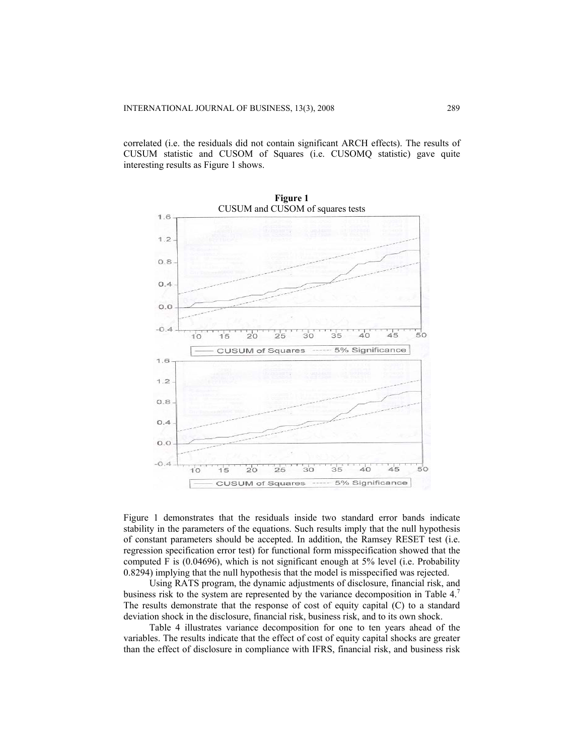correlated (i.e. the residuals did not contain significant ARCH effects). The results of CUSUM statistic and CUSOM of Squares (i.e. CUSOMQ statistic) gave quite interesting results as Figure 1 shows.



Figure 1 demonstrates that the residuals inside two standard error bands indicate stability in the parameters of the equations. Such results imply that the null hypothesis of constant parameters should be accepted. In addition, the Ramsey RESET test (i.e. regression specification error test) for functional form misspecification showed that the computed F is (0.04696), which is not significant enough at 5% level (i.e. Probability 0.8294) implying that the null hypothesis that the model is misspecified was rejected.

Using RATS program, the dynamic adjustments of disclosure, financial risk, and business risk to the system are represented by the variance decomposition in Table 4.<sup>7</sup> The results demonstrate that the response of cost of equity capital (C) to a standard deviation shock in the disclosure, financial risk, business risk, and to its own shock.

Table 4 illustrates variance decomposition for one to ten years ahead of the variables. The results indicate that the effect of cost of equity capital shocks are greater than the effect of disclosure in compliance with IFRS, financial risk, and business risk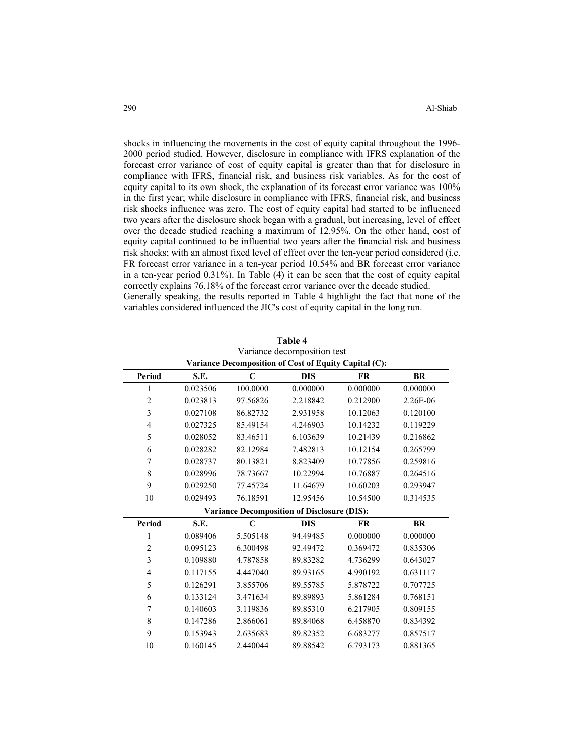shocks in influencing the movements in the cost of equity capital throughout the 1996- 2000 period studied. However, disclosure in compliance with IFRS explanation of the forecast error variance of cost of equity capital is greater than that for disclosure in compliance with IFRS, financial risk, and business risk variables. As for the cost of equity capital to its own shock, the explanation of its forecast error variance was 100% in the first year; while disclosure in compliance with IFRS, financial risk, and business risk shocks influence was zero. The cost of equity capital had started to be influenced two years after the disclosure shock began with a gradual, but increasing, level of effect over the decade studied reaching a maximum of 12.95%. On the other hand, cost of equity capital continued to be influential two years after the financial risk and business risk shocks; with an almost fixed level of effect over the ten-year period considered (i.e. FR forecast error variance in a ten-year period 10.54% and BR forecast error variance in a ten-year period 0.31%). In Table (4) it can be seen that the cost of equity capital correctly explains 76.18% of the forecast error variance over the decade studied. Generally speaking, the results reported in Table 4 highlight the fact that none of the variables considered influenced the JIC's cost of equity capital in the long run.

|                | Variance decomposition test                           |             |                                                    |           |           |  |  |
|----------------|-------------------------------------------------------|-------------|----------------------------------------------------|-----------|-----------|--|--|
|                | Variance Decomposition of Cost of Equity Capital (C): |             |                                                    |           |           |  |  |
| <b>Period</b>  | S.E.                                                  | C           | <b>DIS</b>                                         | <b>FR</b> | <b>BR</b> |  |  |
| 1              | 0.023506                                              | 100.0000    | 0.000000                                           | 0.000000  | 0.000000  |  |  |
| $\overline{c}$ | 0.023813                                              | 97.56826    | 2.218842                                           | 0.212900  | 2.26E-06  |  |  |
| 3              | 0.027108                                              | 86.82732    | 2.931958                                           | 10.12063  | 0.120100  |  |  |
| 4              | 0.027325                                              | 85.49154    | 4.246903                                           | 10.14232  | 0.119229  |  |  |
| 5              | 0.028052                                              | 83.46511    | 6.103639                                           | 10.21439  | 0.216862  |  |  |
| 6              | 0.028282                                              | 82.12984    | 7.482813                                           | 10.12154  | 0.265799  |  |  |
| 7              | 0.028737                                              | 80.13821    | 8.823409                                           | 10.77856  | 0.259816  |  |  |
| 8              | 0.028996                                              | 78.73667    | 10.22994                                           | 10.76887  | 0.264516  |  |  |
| 9              | 0.029250                                              | 77.45724    | 11.64679                                           | 10.60203  | 0.293947  |  |  |
| 10             | 0.029493                                              | 76.18591    | 12.95456                                           | 10.54500  | 0.314535  |  |  |
|                |                                                       |             | <b>Variance Decomposition of Disclosure (DIS):</b> |           |           |  |  |
| <b>Period</b>  | S.E.                                                  | $\mathbf C$ | <b>DIS</b>                                         | <b>FR</b> | <b>BR</b> |  |  |
| 1              | 0.089406                                              | 5.505148    | 94.49485                                           | 0.000000  | 0.000000  |  |  |
| 2              | 0.095123                                              | 6.300498    | 92.49472                                           | 0.369472  | 0.835306  |  |  |
| 3              | 0.109880                                              | 4.787858    | 89.83282                                           | 4.736299  | 0.643027  |  |  |
| 4              | 0.117155                                              | 4.447040    | 89.93165                                           | 4.990192  | 0.631117  |  |  |
| 5              | 0.126291                                              | 3.855706    | 89.55785                                           | 5.878722  | 0.707725  |  |  |
| 6              | 0.133124                                              | 3.471634    | 89.89893                                           | 5.861284  | 0.768151  |  |  |
| 7              | 0.140603                                              | 3.119836    | 89.85310                                           | 6.217905  | 0.809155  |  |  |
| 8              | 0.147286                                              | 2.866061    | 89.84068                                           | 6.458870  | 0.834392  |  |  |
| 9              | 0.153943                                              | 2.635683    | 89.82352                                           | 6.683277  | 0.857517  |  |  |
| 10             | 0.160145                                              | 2.440044    | 89.88542                                           | 6.793173  | 0.881365  |  |  |

**Table 4**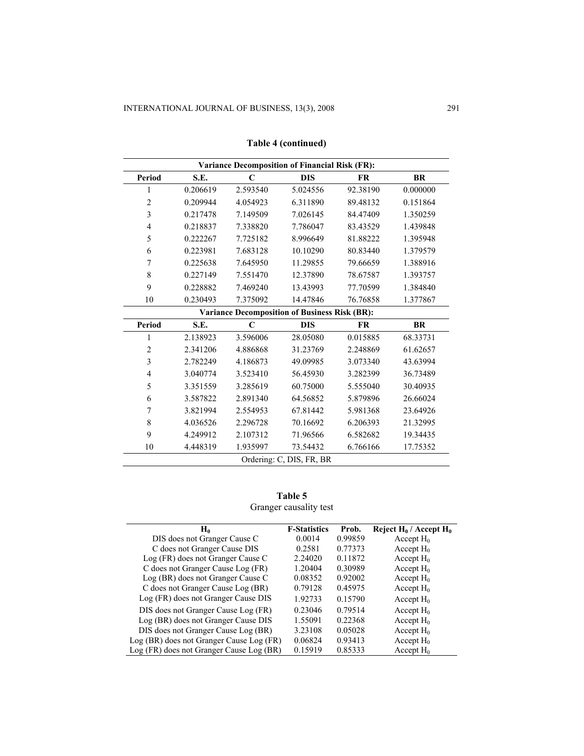| <b>Variance Decomposition of Financial Risk (FR):</b> |          |             |                                                      |           |           |  |  |
|-------------------------------------------------------|----------|-------------|------------------------------------------------------|-----------|-----------|--|--|
| Period                                                | S.E.     | $\mathbf C$ | <b>DIS</b>                                           | <b>FR</b> | <b>BR</b> |  |  |
| 1                                                     | 0.206619 | 2.593540    | 5.024556                                             | 92.38190  | 0.000000  |  |  |
| $\overline{2}$                                        | 0.209944 | 4.054923    | 6.311890                                             | 89.48132  | 0.151864  |  |  |
| $\overline{\mathbf{3}}$                               | 0.217478 | 7.149509    | 7.026145                                             | 84.47409  | 1.350259  |  |  |
| $\overline{\mathcal{L}}$                              | 0.218837 | 7.338820    | 7.786047                                             | 83.43529  | 1.439848  |  |  |
| 5                                                     | 0.222267 | 7.725182    | 8.996649                                             | 81.88222  | 1.395948  |  |  |
| 6                                                     | 0.223981 | 7.683128    | 10.10290                                             | 80.83440  | 1.379579  |  |  |
| 7                                                     | 0.225638 | 7.645950    | 11.29855                                             | 79.66659  | 1.388916  |  |  |
| 8                                                     | 0.227149 | 7.551470    | 12.37890                                             | 78.67587  | 1.393757  |  |  |
| 9                                                     | 0.228882 | 7.469240    | 13.43993                                             | 77.70599  | 1.384840  |  |  |
| 10                                                    | 0.230493 | 7.375092    | 14.47846                                             | 76.76858  | 1.377867  |  |  |
|                                                       |          |             | <b>Variance Decomposition of Business Risk (BR):</b> |           |           |  |  |
| Period                                                | S.E.     | $\mathbf C$ | <b>DIS</b>                                           | <b>FR</b> | <b>BR</b> |  |  |
| 1                                                     | 2.138923 | 3.596006    | 28.05080                                             | 0.015885  | 68.33731  |  |  |
| $\overline{c}$                                        | 2.341206 | 4.886868    | 31.23769                                             | 2.248869  | 61.62657  |  |  |
| $\overline{\mathbf{3}}$                               | 2.782249 | 4.186873    | 49.09985                                             | 3.073340  | 43.63994  |  |  |
| $\overline{4}$                                        | 3.040774 | 3.523410    | 56.45930                                             | 3.282399  | 36.73489  |  |  |
| 5                                                     | 3.351559 | 3.285619    | 60.75000                                             | 5.555040  | 30.40935  |  |  |
| 6                                                     | 3.587822 | 2.891340    | 64.56852                                             | 5.879896  | 26.66024  |  |  |
| 7                                                     | 3.821994 | 2.554953    | 67.81442                                             | 5.981368  | 23.64926  |  |  |
| 8                                                     | 4.036526 | 2.296728    | 70.16692                                             | 6.206393  | 21.32995  |  |  |
| 9                                                     | 4.249912 | 2.107312    | 71.96566                                             | 6.582682  | 19.34435  |  |  |
| 10                                                    | 4.448319 | 1.935997    | 73.54432                                             | 6.766166  | 17.75352  |  |  |
| Ordering: C, DIS, FR, BR                              |          |             |                                                      |           |           |  |  |

**Table 4 (continued)** 

**Table 5**  Granger causality test

| $\mathbf{H}_{\mathbf{0}}$                | <b>F-Statistics</b> | Prob.   | Reject $H_0 /$ Accept $H_0$ |
|------------------------------------------|---------------------|---------|-----------------------------|
| DIS does not Granger Cause C             | 0.0014              | 0.99859 | Accept $H_0$                |
| C does not Granger Cause DIS             | 0.2581              | 0.77373 | Accept $H_0$                |
| Log (FR) does not Granger Cause C        | 2.24020             | 0.11872 | Accept $H_0$                |
| C does not Granger Cause Log (FR)        | 1.20404             | 0.30989 | Accept $H_0$                |
| Log (BR) does not Granger Cause C        | 0.08352             | 0.92002 | Accept $H_0$                |
| C does not Granger Cause Log (BR)        | 0.79128             | 0.45975 | Accept $H_0$                |
| Log (FR) does not Granger Cause DIS      | 1.92733             | 0.15790 | Accept $H_0$                |
| DIS does not Granger Cause Log (FR)      | 0.23046             | 0.79514 | Accept $H_0$                |
| Log (BR) does not Granger Cause DIS      | 1.55091             | 0.22368 | Accept $H_0$                |
| DIS does not Granger Cause Log (BR)      | 3.23108             | 0.05028 | Accept $H_0$                |
| Log (BR) does not Granger Cause Log (FR) | 0.06824             | 0.93413 | Accept $H_0$                |
| Log (FR) does not Granger Cause Log (BR) | 0.15919             | 0.85333 | Accept $H_0$                |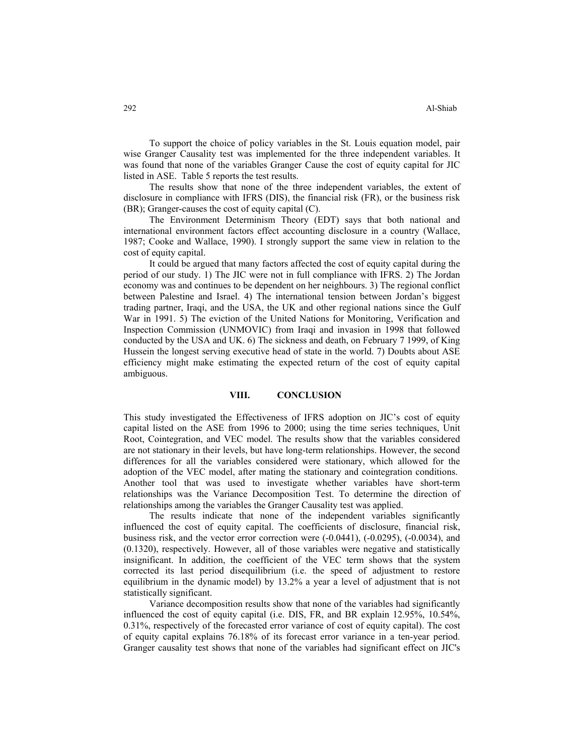To support the choice of policy variables in the St. Louis equation model, pair wise Granger Causality test was implemented for the three independent variables. It was found that none of the variables Granger Cause the cost of equity capital for JIC listed in ASE. Table 5 reports the test results.

The results show that none of the three independent variables, the extent of disclosure in compliance with IFRS (DIS), the financial risk (FR), or the business risk (BR); Granger-causes the cost of equity capital (C).

The Environment Determinism Theory (EDT) says that both national and international environment factors effect accounting disclosure in a country (Wallace, 1987; Cooke and Wallace, 1990). I strongly support the same view in relation to the cost of equity capital.

It could be argued that many factors affected the cost of equity capital during the period of our study. 1) The JIC were not in full compliance with IFRS. 2) The Jordan economy was and continues to be dependent on her neighbours. 3) The regional conflict between Palestine and Israel. 4) The international tension between Jordan's biggest trading partner, Iraqi, and the USA, the UK and other regional nations since the Gulf War in 1991. 5) The eviction of the United Nations for Monitoring, Verification and Inspection Commission (UNMOVIC) from Iraqi and invasion in 1998 that followed conducted by the USA and UK. 6) The sickness and death, on February 7 1999, of King Hussein the longest serving executive head of state in the world. 7) Doubts about ASE efficiency might make estimating the expected return of the cost of equity capital ambiguous.

#### **VIII. CONCLUSION**

This study investigated the Effectiveness of IFRS adoption on JIC's cost of equity capital listed on the ASE from 1996 to 2000; using the time series techniques, Unit Root, Cointegration, and VEC model. The results show that the variables considered are not stationary in their levels, but have long-term relationships. However, the second differences for all the variables considered were stationary, which allowed for the adoption of the VEC model, after mating the stationary and cointegration conditions. Another tool that was used to investigate whether variables have short-term relationships was the Variance Decomposition Test. To determine the direction of relationships among the variables the Granger Causality test was applied.

The results indicate that none of the independent variables significantly influenced the cost of equity capital. The coefficients of disclosure, financial risk, business risk, and the vector error correction were (-0.0441), (-0.0295), (-0.0034), and (0.1320), respectively. However, all of those variables were negative and statistically insignificant. In addition, the coefficient of the VEC term shows that the system corrected its last period disequilibrium (i.e. the speed of adjustment to restore equilibrium in the dynamic model) by 13.2% a year a level of adjustment that is not statistically significant.

Variance decomposition results show that none of the variables had significantly influenced the cost of equity capital (i.e. DIS, FR, and BR explain 12.95%, 10.54%, 0.31%, respectively of the forecasted error variance of cost of equity capital). The cost of equity capital explains 76.18% of its forecast error variance in a ten-year period. Granger causality test shows that none of the variables had significant effect on JIC's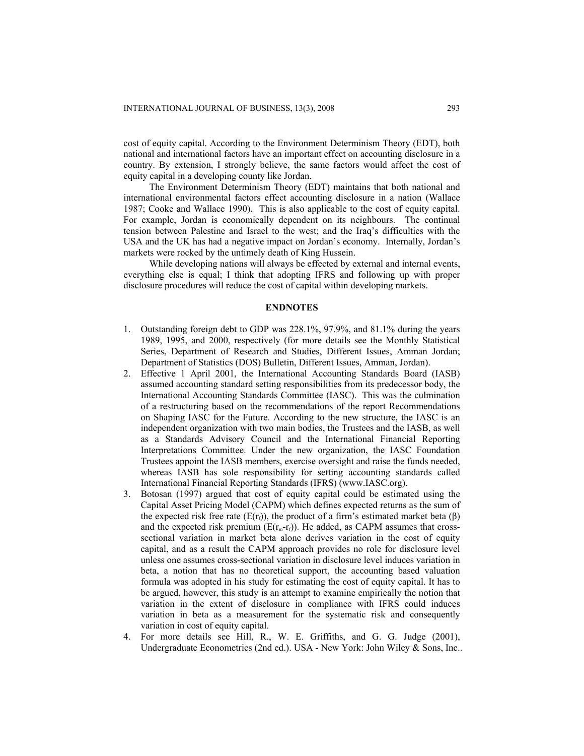cost of equity capital. According to the Environment Determinism Theory (EDT), both national and international factors have an important effect on accounting disclosure in a country. By extension, I strongly believe, the same factors would affect the cost of equity capital in a developing county like Jordan.

The Environment Determinism Theory (EDT) maintains that both national and international environmental factors effect accounting disclosure in a nation (Wallace 1987; Cooke and Wallace 1990). This is also applicable to the cost of equity capital. For example, Jordan is economically dependent on its neighbours. The continual tension between Palestine and Israel to the west; and the Iraq's difficulties with the USA and the UK has had a negative impact on Jordan's economy. Internally, Jordan's markets were rocked by the untimely death of King Hussein.

While developing nations will always be effected by external and internal events, everything else is equal; I think that adopting IFRS and following up with proper disclosure procedures will reduce the cost of capital within developing markets.

#### **ENDNOTES**

- 1. Outstanding foreign debt to GDP was 228.1%, 97.9%, and 81.1% during the years 1989, 1995, and 2000, respectively (for more details see the Monthly Statistical Series, Department of Research and Studies, Different Issues, Amman Jordan; Department of Statistics (DOS) Bulletin, Different Issues, Amman, Jordan).
- 2. Effective 1 April 2001, the International Accounting Standards Board (IASB) assumed accounting standard setting responsibilities from its predecessor body, the International Accounting Standards Committee (IASC). This was the culmination of a restructuring based on the recommendations of the report Recommendations on Shaping IASC for the Future. According to the new structure, the IASC is an independent organization with two main bodies, the Trustees and the IASB, as well as a Standards Advisory Council and the International Financial Reporting Interpretations Committee. Under the new organization, the IASC Foundation Trustees appoint the IASB members, exercise oversight and raise the funds needed, whereas IASB has sole responsibility for setting accounting standards called International Financial Reporting Standards (IFRS) (www.IASC.org).
- 3. Botosan (1997) argued that cost of equity capital could be estimated using the Capital Asset Pricing Model (CAPM) which defines expected returns as the sum of the expected risk free rate ( $E(r_f)$ ), the product of a firm's estimated market beta ( $\beta$ ) and the expected risk premium ( $E(r_m-r_f)$ ). He added, as CAPM assumes that crosssectional variation in market beta alone derives variation in the cost of equity capital, and as a result the CAPM approach provides no role for disclosure level unless one assumes cross-sectional variation in disclosure level induces variation in beta, a notion that has no theoretical support, the accounting based valuation formula was adopted in his study for estimating the cost of equity capital. It has to be argued, however, this study is an attempt to examine empirically the notion that variation in the extent of disclosure in compliance with IFRS could induces variation in beta as a measurement for the systematic risk and consequently variation in cost of equity capital.
- 4. For more details see Hill, R., W. E. Griffiths, and G. G. Judge (2001), Undergraduate Econometrics (2nd ed.). USA - New York: John Wiley & Sons, Inc..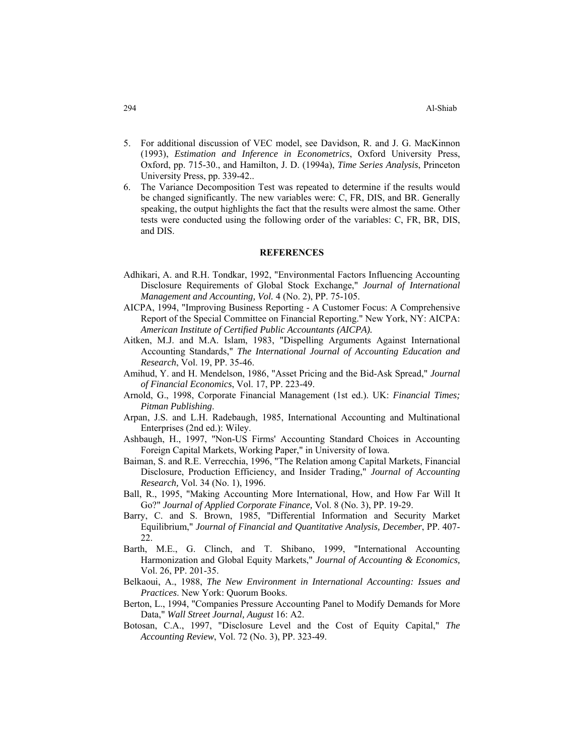- 5. For additional discussion of VEC model, see Davidson, R. and J. G. MacKinnon (1993), *Estimation and Inference in Econometrics*, Oxford University Press, Oxford, pp. 715-30., and Hamilton, J. D. (1994a), *Time Series Analysis*, Princeton University Press, pp. 339-42..
- 6. The Variance Decomposition Test was repeated to determine if the results would be changed significantly. The new variables were: C, FR, DIS, and BR. Generally speaking, the output highlights the fact that the results were almost the same. Other tests were conducted using the following order of the variables: C, FR, BR, DIS, and DIS.

#### **REFERENCES**

- Adhikari, A. and R.H. Tondkar, 1992, "Environmental Factors Influencing Accounting Disclosure Requirements of Global Stock Exchange," *Journal of International Management and Accounting, Vol.* 4 (No. 2), PP. 75-105.
- AICPA, 1994, "Improving Business Reporting A Customer Focus: A Comprehensive Report of the Special Committee on Financial Reporting." New York, NY: AICPA: *American Institute of Certified Public Accountants (AICPA).*
- Aitken, M.J. and M.A. Islam, 1983, "Dispelling Arguments Against International Accounting Standards," *The International Journal of Accounting Education and Research*, Vol. 19, PP. 35-46.
- Amihud, Y. and H. Mendelson, 1986, "Asset Pricing and the Bid-Ask Spread," *Journal of Financial Economics*, Vol. 17, PP. 223-49.
- Arnold, G., 1998, Corporate Financial Management (1st ed.). UK: *Financial Times; Pitman Publishing*.
- Arpan, J.S. and L.H. Radebaugh, 1985, International Accounting and Multinational Enterprises (2nd ed.): Wiley.
- Ashbaugh, H., 1997, "Non-US Firms' Accounting Standard Choices in Accounting Foreign Capital Markets, Working Paper," in University of Iowa.
- Baiman, S. and R.E. Verrecchia, 1996, "The Relation among Capital Markets, Financial Disclosure, Production Efficiency, and Insider Trading," *Journal of Accounting Research,* Vol. 34 (No. 1), 1996.
- Ball, R., 1995, "Making Accounting More International, How, and How Far Will It Go?" *Journal of Applied Corporate Finance,* Vol. 8 (No. 3), PP. 19-29.
- Barry, C. and S. Brown, 1985, "Differential Information and Security Market Equilibrium," *Journal of Financial and Quantitative Analysis, December*, PP. 407- 22.
- Barth, M.E., G. Clinch, and T. Shibano, 1999, "International Accounting Harmonization and Global Equity Markets," *Journal of Accounting & Economics,* Vol. 26, PP. 201-35.
- Belkaoui, A., 1988, *The New Environment in International Accounting: Issues and Practices*. New York: Quorum Books.
- Berton, L., 1994, "Companies Pressure Accounting Panel to Modify Demands for More Data," *Wall Street Journal, August* 16: A2.
- Botosan, C.A., 1997, "Disclosure Level and the Cost of Equity Capital," *The Accounting Review*, Vol. 72 (No. 3), PP. 323-49.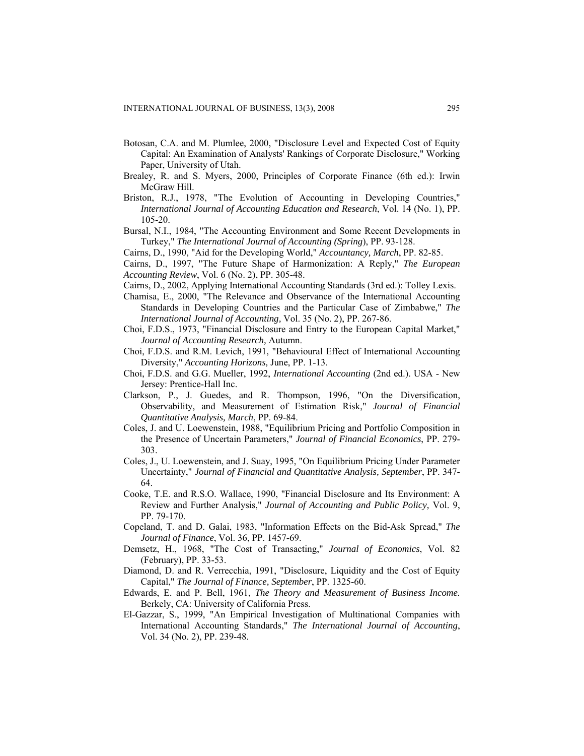- Botosan, C.A. and M. Plumlee, 2000, "Disclosure Level and Expected Cost of Equity Capital: An Examination of Analysts' Rankings of Corporate Disclosure," Working Paper, University of Utah.
- Brealey, R. and S. Myers, 2000, Principles of Corporate Finance (6th ed.): Irwin McGraw Hill.
- Briston, R.J., 1978, "The Evolution of Accounting in Developing Countries," *International Journal of Accounting Education and Research*, Vol. 14 (No. 1), PP. 105-20.
- Bursal, N.I., 1984, "The Accounting Environment and Some Recent Developments in Turkey," *The International Journal of Accounting (Spring*), PP. 93-128.
- Cairns, D., 1990, "Aid for the Developing World," *Accountancy, March*, PP. 82-85.
- Cairns, D., 1997, "The Future Shape of Harmonization: A Reply," *The European Accounting Review*, Vol. 6 (No. 2), PP. 305-48.
- Cairns, D., 2002, Applying International Accounting Standards (3rd ed.): Tolley Lexis.
- Chamisa, E., 2000, "The Relevance and Observance of the International Accounting Standards in Developing Countries and the Particular Case of Zimbabwe," *The International Journal of Accounting,* Vol. 35 (No. 2), PP. 267-86.
- Choi, F.D.S., 1973, "Financial Disclosure and Entry to the European Capital Market," *Journal of Accounting Research,* Autumn.
- Choi, F.D.S. and R.M. Levich, 1991, "Behavioural Effect of International Accounting Diversity," *Accounting Horizons,* June, PP. 1-13.
- Choi, F.D.S. and G.G. Mueller, 1992, *International Accounting* (2nd ed.). USA New Jersey: Prentice-Hall Inc.
- Clarkson, P., J. Guedes, and R. Thompson, 1996, "On the Diversification, Observability, and Measurement of Estimation Risk," *Journal of Financial Quantitative Analysis, March*, PP. 69-84.
- Coles, J. and U. Loewenstein, 1988, "Equilibrium Pricing and Portfolio Composition in the Presence of Uncertain Parameters," *Journal of Financial Economics*, PP. 279- 303.
- Coles, J., U. Loewenstein, and J. Suay, 1995, "On Equilibrium Pricing Under Parameter Uncertainty," *Journal of Financial and Quantitative Analysis, September*, PP. 347- 64.
- Cooke, T.E. and R.S.O. Wallace, 1990, "Financial Disclosure and Its Environment: A Review and Further Analysis," *Journal of Accounting and Public Policy,* Vol. 9, PP. 79-170.
- Copeland, T. and D. Galai, 1983, "Information Effects on the Bid-Ask Spread," *The Journal of Finance*, Vol. 36, PP. 1457-69.
- Demsetz, H., 1968, "The Cost of Transacting," *Journal of Economics*, Vol. 82 (February), PP. 33-53.
- Diamond, D. and R. Verrecchia, 1991, "Disclosure, Liquidity and the Cost of Equity Capital," *The Journal of Finance, September*, PP. 1325-60.
- Edwards, E. and P. Bell, 1961, *The Theory and Measurement of Business Income.* Berkely, CA: University of California Press.
- El-Gazzar, S., 1999, "An Empirical Investigation of Multinational Companies with International Accounting Standards," *The International Journal of Accounting*, Vol. 34 (No. 2), PP. 239-48.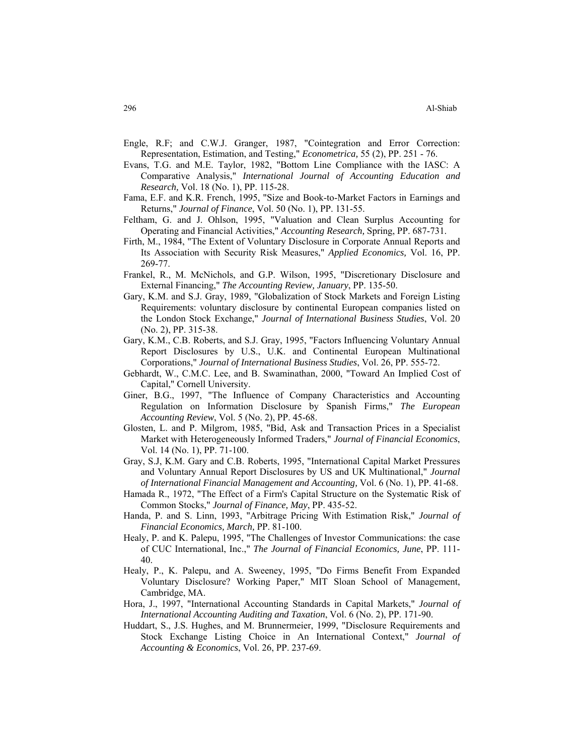- Engle, R.F; and C.W.J. Granger, 1987, "Cointegration and Error Correction: Representation, Estimation, and Testing," *Econometrica,* 55 (2), PP. 251 - 76.
- Evans, T.G. and M.E. Taylor, 1982, "Bottom Line Compliance with the IASC: A Comparative Analysis," *International Journal of Accounting Education and Research,* Vol. 18 (No. 1), PP. 115-28.
- Fama, E.F. and K.R. French, 1995, "Size and Book-to-Market Factors in Earnings and Returns," *Journal of Finance*, Vol. 50 (No. 1), PP. 131-55.
- Feltham, G. and J. Ohlson, 1995, "Valuation and Clean Surplus Accounting for Operating and Financial Activities," *Accounting Research,* Spring, PP. 687-731.
- Firth, M., 1984, "The Extent of Voluntary Disclosure in Corporate Annual Reports and Its Association with Security Risk Measures," *Applied Economics,* Vol. 16, PP. 269-77.
- Frankel, R., M. McNichols, and G.P. Wilson, 1995, "Discretionary Disclosure and External Financing," *The Accounting Review, January*, PP. 135-50.
- Gary, K.M. and S.J. Gray, 1989, "Globalization of Stock Markets and Foreign Listing Requirements: voluntary disclosure by continental European companies listed on the London Stock Exchange," *Journal of International Business Studies*, Vol. 20 (No. 2), PP. 315-38.
- Gary, K.M., C.B. Roberts, and S.J. Gray, 1995, "Factors Influencing Voluntary Annual Report Disclosures by U.S., U.K. and Continental European Multinational Corporations," *Journal of International Business Studies*, Vol. 26, PP. 555-72.
- Gebhardt, W., C.M.C. Lee, and B. Swaminathan, 2000, "Toward An Implied Cost of Capital," Cornell University.
- Giner, B.G., 1997, "The Influence of Company Characteristics and Accounting Regulation on Information Disclosure by Spanish Firms," *The European Accounting Review*, Vol. 5 (No. 2), PP. 45-68.
- Glosten, L. and P. Milgrom, 1985, "Bid, Ask and Transaction Prices in a Specialist Market with Heterogeneously Informed Traders," *Journal of Financial Economics*, Vol. 14 (No. 1), PP. 71-100.
- Gray, S.J, K.M. Gary and C.B. Roberts, 1995, "International Capital Market Pressures and Voluntary Annual Report Disclosures by US and UK Multinational," *Journal of International Financial Management and Accounting,* Vol. 6 (No. 1), PP. 41-68.
- Hamada R., 1972, "The Effect of a Firm's Capital Structure on the Systematic Risk of Common Stocks," *Journal of Finance, May*, PP. 435-52.
- Handa, P. and S. Linn, 1993, "Arbitrage Pricing With Estimation Risk," *Journal of Financial Economics, March,* PP. 81-100.
- Healy, P. and K. Palepu, 1995, "The Challenges of Investor Communications: the case of CUC International, Inc.," *The Journal of Financial Economics, June*, PP. 111- 40.
- Healy, P., K. Palepu, and A. Sweeney, 1995, "Do Firms Benefit From Expanded Voluntary Disclosure? Working Paper," MIT Sloan School of Management, Cambridge, MA.
- Hora, J., 1997, "International Accounting Standards in Capital Markets," *Journal of International Accounting Auditing and Taxation*, Vol. 6 (No. 2), PP. 171-90.
- Huddart, S., J.S. Hughes, and M. Brunnermeier, 1999, "Disclosure Requirements and Stock Exchange Listing Choice in An International Context," *Journal of Accounting & Economics*, Vol. 26, PP. 237-69.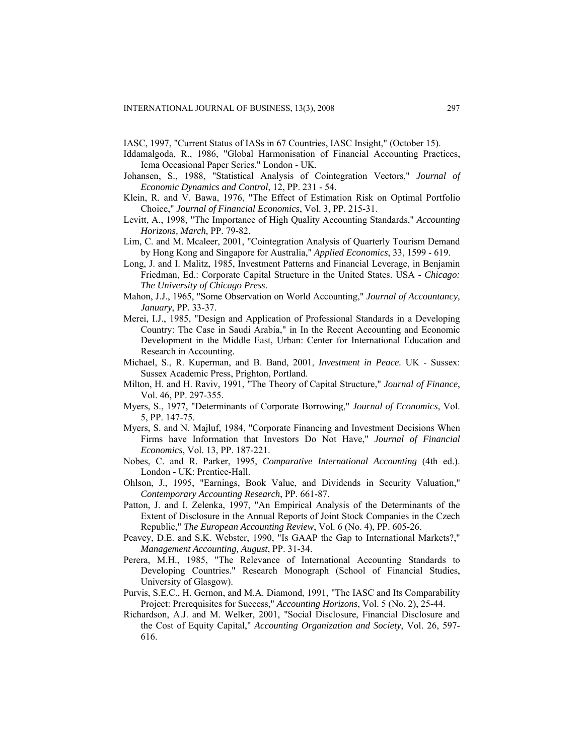IASC, 1997, "Current Status of IASs in 67 Countries, IASC Insight," (October 15).

- Iddamalgoda, R., 1986, "Global Harmonisation of Financial Accounting Practices, Icma Occasional Paper Series." London - UK.
- Johansen, S., 1988, "Statistical Analysis of Cointegration Vectors," *Journal of Economic Dynamics and Control*, 12, PP. 231 - 54.
- Klein, R. and V. Bawa, 1976, "The Effect of Estimation Risk on Optimal Portfolio Choice," *Journal of Financial Economics*, Vol. 3, PP. 215-31.
- Levitt, A., 1998, "The Importance of High Quality Accounting Standards," *Accounting Horizons, March,* PP. 79-82.
- Lim, C. and M. Mcaleer, 2001, "Cointegration Analysis of Quarterly Tourism Demand by Hong Kong and Singapore for Australia," *Applied Economics*, 33, 1599 - 619.
- Long, J. and I. Malitz, 1985, Investment Patterns and Financial Leverage, in Benjamin Friedman, Ed.: Corporate Capital Structure in the United States. USA - *Chicago: The University of Chicago Press*.
- Mahon, J.J., 1965, "Some Observation on World Accounting," *Journal of Accountancy, January*, PP. 33-37.
- Merei, I.J., 1985, "Design and Application of Professional Standards in a Developing Country: The Case in Saudi Arabia," in In the Recent Accounting and Economic Development in the Middle East, Urban: Center for International Education and Research in Accounting.
- Michael, S., R. Kuperman, and B. Band, 2001, *Investment in Peace.* UK Sussex: Sussex Academic Press, Prighton, Portland.
- Milton, H. and H. Raviv, 1991, "The Theory of Capital Structure," *Journal of Finance*, Vol. 46, PP. 297-355.
- Myers, S., 1977, "Determinants of Corporate Borrowing," *Journal of Economics*, Vol. 5, PP. 147-75.
- Myers, S. and N. Majluf, 1984, "Corporate Financing and Investment Decisions When Firms have Information that Investors Do Not Have," *Journal of Financial Economics*, Vol. 13, PP. 187-221.
- Nobes, C. and R. Parker, 1995, *Comparative International Accounting* (4th ed.). London - UK: Prentice-Hall.
- Ohlson, J., 1995, "Earnings, Book Value, and Dividends in Security Valuation," *Contemporary Accounting Research*, PP. 661-87.
- Patton, J. and I. Zelenka, 1997, "An Empirical Analysis of the Determinants of the Extent of Disclosure in the Annual Reports of Joint Stock Companies in the Czech Republic," *The European Accounting Review*, Vol. 6 (No. 4), PP. 605-26.
- Peavey, D.E. and S.K. Webster, 1990, "Is GAAP the Gap to International Markets?," *Management Accounting, August*, PP. 31-34.
- Perera, M.H., 1985, "The Relevance of International Accounting Standards to Developing Countries." Research Monograph (School of Financial Studies, University of Glasgow).
- Purvis, S.E.C., H. Gernon, and M.A. Diamond, 1991, "The IASC and Its Comparability Project: Prerequisites for Success," *Accounting Horizons*, Vol. 5 (No. 2), 25-44.
- Richardson, A.J. and M. Welker, 2001, "Social Disclosure, Financial Disclosure and the Cost of Equity Capital," *Accounting Organization and Society*, Vol. 26, 597- 616.